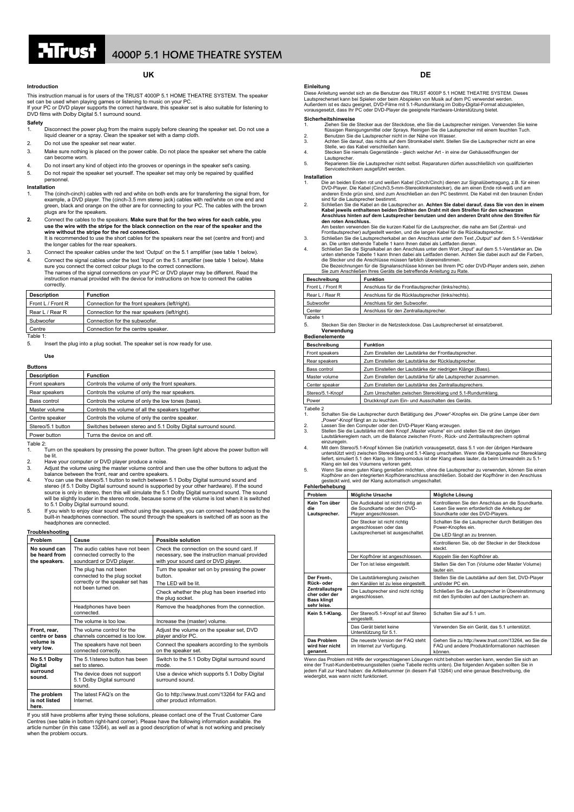

## **UK**

### **Introduction**

This instruction manual is for users of the TRUST 4000P 5.1 HOME THEATRE SYSTEM. The speaker set can be used when playing games or listening to music on your PC.<br>If your PC or DVD player supports the correct hardware, this speaker set is also suitable for listening to<br>DVD films with Dolby Digital 5.1 surround soun

### **Safety**

- 1. Disconnect the power plug from the mains supply before cleaning the speaker set. Do not use a liquid cleaner or a spray. Clean the speaker set with a damp cloth.
- 2. Do not use the speaker set near water.
- 3. Make sure nothing is placed on the power cable. Do not place the speaker set where the cable can become worn.
- 4. Do not insert any kind of object into the grooves or openings in the speaker set's casing. 5. Do not repair the speaker set yourself. The speaker set may only be repaired by qualified
- personnel.

### **Installation**

- 1. The (cinch-cinch) cables with red and white on both ends are for transferring the signal from, for example, a DVD player. The (cinch-3.5 mm stereo jack) cables with red/white on one end and green, black and orange on the other are for connecting to your PC. The cables with the brown plugs are for the speakers.
- **2.** Connect the cables to the speakers. **Make sure that for the two wires for each cable, you use the wire with the stripe for the black connection on the rear of the speaker and the wire without the stripe for the red connection.**  It is recommended to use the short cables for the speakers near the set (centre and front) and
- the longer cables for the rear speakers. 3. Connect the speaker cables under the text 'Output' on the 5.1 amplifier (see table 1 below).
- 4. Connect the signal cables under the text 'Input' on the 5.1 amplifier (see table 1 below). Make

sure you connect the correct colour plugs to the correct connections.<br>The names of the signal connections on your PC or DVD player may be different. Read the<br>instruction manual provided with the device for instructions on correctly.

| <b>Description</b> | <b>Function</b>                                 |
|--------------------|-------------------------------------------------|
| Front L / Front R  | Connection for the front speakers (left/right). |
| Rear L / Rear R    | Connection for the rear speakers (left/right).  |
| Subwoofer          | Connection for the subwoofer.                   |
| Centre             | Connection for the centre speaker.              |
| Table 1:           |                                                 |

Insert the plug into a plug socket. The speaker set is now ready for use.

### **Use**

| <b>Buttons</b>     |                                                               |  |
|--------------------|---------------------------------------------------------------|--|
| <b>Description</b> | <b>Function</b>                                               |  |
| Front speakers     | Controls the volume of only the front speakers.               |  |
| Rear speakers      | Controls the volume of only the rear speakers.                |  |
| Bass control       | Controls the volume of only the low tones (bass).             |  |
| Master volume      | Controls the volume of all the speakers together.             |  |
| Centre speaker     | Controls the volume of only the centre speaker.               |  |
| Stereo/5.1 button  | Switches between stereo and 5.1 Dolby Digital surround sound. |  |
| Power button       | Turns the device on and off.                                  |  |
| ---                |                                                               |  |

Table 2:

- 1. Turn on the speakers by pressing the power button. The green light above the power button will be lit.
- 
- 2. Have your computer or DVD player produce a noise. 3. Adjust the volume using the master volume control and then use the other buttons to adjust the balance between the front, rear and centre speakers.
- Datative between the front, real and centre speakers.<br>4. You can use the stereo/5.1 button to switch between 5.1 Dolby Digital surround sound and stereo (if 5.1 Dolby Digital surround sound is supported by your other hardware). If the sound<br>source is only in stereo, then this will simulate the 5.1 Dolby Digital surround sound. The sound<br>will be slightly louder in th
- to 5.1 Dolby Digital surround sound.<br>5. If you wish to enjoy clear sound without using the speakers, you can connect headphones to the<br>built-in headphones connection. The sound through the speakers is switched off as headphones are connected.

### **Troubleshooting**

| Problem                                                  | Cause                                                                                                            | <b>Possible solution</b>                                                                                                            |
|----------------------------------------------------------|------------------------------------------------------------------------------------------------------------------|-------------------------------------------------------------------------------------------------------------------------------------|
| No sound can<br>be heard from<br>the speakers.           | The audio cables have not been<br>connected correctly to the<br>soundcard or DVD player.                         | Check the connection on the sound card. If<br>necessary, see the instruction manual provided<br>with your sound card or DVD player. |
|                                                          | The plug has not been<br>connected to the plug socket<br>correctly or the speaker set has<br>not been turned on. | Turn the speaker set on by pressing the power<br>button.<br>The LED will be lit.                                                    |
|                                                          |                                                                                                                  | Check whether the plug has been inserted into<br>the plug socket.                                                                   |
|                                                          | Headphones have been<br>connected.                                                                               | Remove the headphones from the connection.                                                                                          |
|                                                          | The volume is too low.                                                                                           | Increase the (master) volume.                                                                                                       |
| Front, rear,<br>centre or bass<br>volume is<br>very low. | The volume control for the<br>channels concerned is too low.                                                     | Adjust the volume on the speaker set, DVD<br>player and/or PC.                                                                      |
|                                                          | The speakers have not been<br>connected correctly.                                                               | Connect the speakers according to the symbols<br>on the speaker set.                                                                |
| No 5.1 Dolby<br><b>Digital</b><br>surround<br>sound.     | The 5.1/stereo button has been<br>set to stereo.                                                                 | Switch to the 5.1 Dolby Digital surround sound<br>mode.                                                                             |
|                                                          | The device does not support<br>5.1 Dolby Digital surround<br>sound.                                              | Use a device which supports 5.1 Dolby Digital<br>surround sound.                                                                    |
| The problem<br>is not listed<br>here.                    | The latest FAQ's on the<br>Internet.                                                                             | Go to http://www.trust.com/13264 for FAQ and<br>other product information.                                                          |

If you still have problems after trying these solutions, please contact one of the Trust Customer Care Centres (see table in bottom right-hand corner). Please have the following information available. the article number (in this case 13264), as well as a good description of what is not working and precisely when the problem occurs.

Diese Anleitung wendet sich an die Benutzer des TRUST 4000P 5.1 HOME THEATRE SYSTEM. Dieses<br>Lautsprecherset kann bei Spielen oder beim Abspielen von Musik auf dem PC verwendet werden.<br>Außerdem ist es dazu geeignet, DVD-Fil

**DE**

### **Sicherheitshinweise**

**Einleitung** 

- 1. Ziehen Sie die Stecker aus der Steckdose, ehe Sie die Lautsprecher reinigen. Verwenden Sie keine
- flüssigen Reinigungsmittel oder Sprays. Reinigen Sie die Lautsprecher mit einem feuchten Tuch.<br>2. Benutzen Sie die Lautsprecher nicht in der Nähe von Wasser.<br>3. Achten Sie darauf, das nichts auf dem Stromkabel
- Stelle, wo das Kabel verschleißen kann. 4. Stecken Sie niemals Gegenstände gleich welcher Art in eine der Gehäuseöffnungen der
- Lautsprecher. 5. Reparieren Sie die Lautsprecher nicht selbst. Reparaturen dürfen ausschließlich von qualifizierten Servicetechnikern ausgeführt werden.

### **Installation**

- 1. Die an beiden Enden rot und weißen Kabel (Cinch/Cinch) dienen zur Signalübertragung, z.B. für einen DVD-Player. Die Kabel (Cinch/3,5-mm-Stereoklinkenstecker), die am einen Ende rot-weiß und am<br>anderen Ende grün sind, sind zum Anschließen an den PC bestimmt. Die Kabel mit den braunen Enden<br>sind für die Lautsprecher bestim
- 2. Schließen Sie die Kabel an die Lautsprecher an. **Achten Sie dabei darauf, dass Sie von den in einem Kabel jeweils enthaltenen beiden Drähten den Draht mit dem Streifen für den schwarzen Anschluss hinten auf dem Lautsprecher benutzen und den anderen Draht ohne den Streifen für**

- 
- den roten Anschluss.<br>Am besten verwenden Sie die kurzen Kabel für die Lautsprecher, die nahe am Set (Zentral- und<br>Frontlautsprecher) aufgestellt werden, und die langen Kabel für die Rücklautsprecher.<br>3. Schileßen Sie die L
- Sie zum Anschließen Ihres Geräts die betreffende Anleitung zu Rate.

| Beschreibung      | <b>Funktion</b>                                     |
|-------------------|-----------------------------------------------------|
| Front L / Front R | Anschluss für die Frontlautsprecher (links/rechts). |
| Rear L / Rear R   | Anschluss für die Rücklautsprecher (links/rechts).  |
| Subwoofer         | Anschluss für den Subwoofer.                        |
| Center            | Anschluss für den Zentrallautsprecher.              |
| Tabelle 1         |                                                     |

5. Stecken Sie den Stecker in die Netzsteckdose. Das Lautsprecherset ist einsatzbereit. **Verwendung**

| <b>Beschreibung</b> | <b>Funktion</b>                                               |
|---------------------|---------------------------------------------------------------|
| Front speakers      | Zum Einstellen der Lautstärke der Frontlautsprecher.          |
| Rear speakers       | Zum Einstellen der Lautstärke der Rücklautsprecher.           |
| Bass control        | Zum Einstellen der Lautstärke der niedrigen Klänge (Bass).    |
| Master volume       | Zum Einstellen der Lautstärke für alle Lautsprecher zusammen. |
| Center speaker      | Zum Einstellen der Lautstärke des Zentrallautsprechers.       |
| Stereo/5.1-Knopf    | Zum Umschalten zwischen Stereoklang und 5.1-Rundumklang.      |
| Power               | Druckknopf zum Ein- und Ausschalten des Geräts.               |

Tabelle 2 1. Schalten Sie die Lautsprecher durch Betätigung des "Power"-Knopfes ein. Die grüne Lampe über dem "Power"-Knopf fängt an zu leuchten. 2. Lassen Sie den Computer oder den DVD-Player Klang erzeugen.

- 3. Stellen Sie die Lautstärke mit dem Knopf "Master volume" ein und stellen Sie mit den übrigen<br>Lautstärkereglern nach, um die Balance zwischen Front-, Rück- und Zentrallautsprechern optimal
- einzuregeln.<br>
Mit dem Stereo/5.1-Knopf können Sie (natürlich vorausgesetzt, dass 5.1 von der übrigen Hardware<br>
unterstützt wird) zwischen Stereoklang und 5.1-Klang umschalten. Wenn die Klanggrelle nur Stereoklang<br>
liefert,
- 

| Fehlerbehebung                                                                                            |                                                                                              |                                                                                                                                         |  |
|-----------------------------------------------------------------------------------------------------------|----------------------------------------------------------------------------------------------|-----------------------------------------------------------------------------------------------------------------------------------------|--|
| Problem                                                                                                   | Mögliche Ursache                                                                             | Mögliche Lösung                                                                                                                         |  |
| Kein Ton über<br>die<br>Lautsprecher.                                                                     | Die Audiokabel ist nicht richtig an<br>die Soundkarte oder den DVD-<br>Player angeschlossen. | Kontrollieren Sie den Anschluss an die Soundkarte.<br>Lesen Sie wenn erforderlich die Anleitung der<br>Soundkarte oder des DVD-Players. |  |
|                                                                                                           | Der Stecker ist nicht richtig<br>angeschlossen oder das                                      | Schalten Sie die Lautsprecher durch Betätigen des<br>Power-Knopfes ein.                                                                 |  |
|                                                                                                           | Lautsprecherset ist ausgeschaltet.                                                           | Die LED fängt an zu brennen.                                                                                                            |  |
|                                                                                                           |                                                                                              | Kontrollieren Sie, ob der Stecker in der Steckdose<br>steckt.                                                                           |  |
|                                                                                                           | Der Kopfhörer ist angeschlossen.                                                             | Koppeln Sie den Kopfhörer ab.                                                                                                           |  |
|                                                                                                           | Der Ton ist leise eingestellt.                                                               | Stellen Sie den Ton (Volume oder Master Volume)<br>lauter ein.                                                                          |  |
| Der Front-,<br>Rück- oder<br><b>Zentrallautspre</b><br>cher oder der<br><b>Bass klingt</b><br>sehr leise. | Die Lautstärkereglung zwischen<br>den Kanälen ist zu leise eingestellt.                      | Stellen Sie die Lautstärke auf dem Set, DVD-Player<br>und/oder PC ein.                                                                  |  |
|                                                                                                           | Die Lautsprecher sind nicht richtig<br>angeschlossen.                                        | Schließen Sie die Lautsprecher in Übereinstimmung<br>mit den Symbolen auf den Lautsprechern an.                                         |  |
| Kein 5.1-Klang.                                                                                           | Der Stereo/5.1-Knopf ist auf Stereo<br>eingestellt.                                          | Schalten Sie auf 5.1 um.                                                                                                                |  |
|                                                                                                           | Das Gerät bietet keine<br>Unterstützung für 5.1.                                             | Verwenden Sie ein Gerät, das 5.1 unterstützt.                                                                                           |  |
| Das Problem<br>wird hier nicht<br>genannt.                                                                | Die neueste Version der FAQ steht<br>im Internet zur Verfügung.                              | Gehen Sie zu http://www.trust.com/13264, wo Sie die<br>FAQ und andere Produktinformationen nachlesen<br>können.                         |  |

Wenn das Problem mit Hilfe der vorgeschlagenen Lösungen nicht behoben werden kann, wenden Sie sich an<br>eine der Trust-Kundenbetreuungsstellen (siehe Tabelle rechts unten). Die folgenden Angaben sollten Sie in<br>jedem Fall zur nn nicht funktio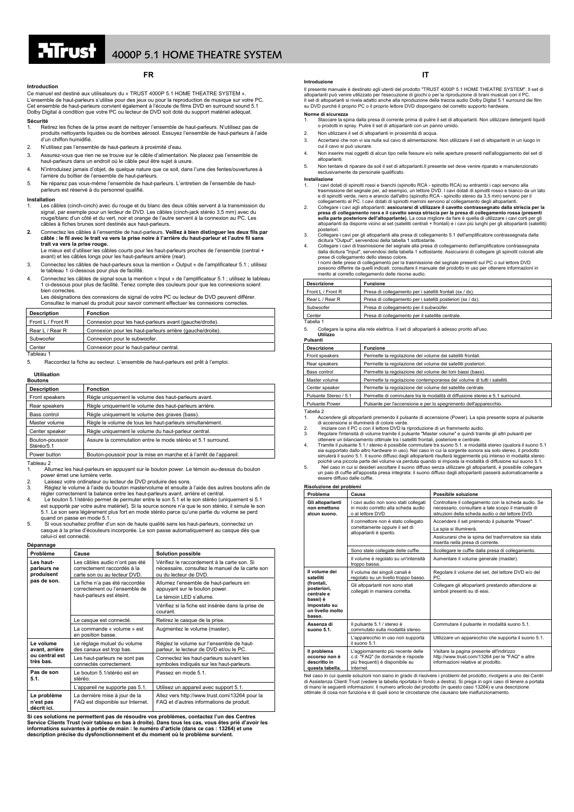### **Introduction**

Ce manuel est destiné aux utilisateurs du « TRUST 4000P 5.1 HOME THEATRE SYSTEM ». L'ensemble de haut-parleurs s'utilise pour des jeux ou pour la reproduction de musique sur votre PC. Cet ensemble de haut-parleurs convient également à l'écoute de films DVD en surround sound 5.1 Dolby Digital à condition que votre PC ou lecteur de DVD soit doté du support matériel adéquat. **Sécurité**

**FR** 

## 1. Retirez les fiches de la prise avant de nettoyer l'ensemble de haut-parleurs. N'utilisez pas de produits nettoyants liquides ou de bombes aérosol. Essuyez l'ensemble de haut-parleurs à l'aide d'un chiffon humidifié.

- 2. N'utilisez pas l'ensemble de haut-parleurs à proximité d'eau.
- 3. Assurez-vous que rien ne se trouve sur le câble d'alimentation. Ne placez pas l'ensemble de haut-parleurs dans un endroit où le câble peut être sujet à usure.
- 4. N'introduisez jamais d'objet, de quelque nature que ce soit, dans l'une des fentes/ouvertures à l'arrière du boîtier de l'ensemble de haut-parleurs.
- 5. Ne réparez pas vous-même l'ensemble de haut-parleurs. L'entretien de l'ensemble de hautparleurs est réservé à du personnel qualifié.

### **Installation**

- 1. Les câbles (cinch-cinch) avec du rouge et du blanc des deux côtés servent à la transmission du signal, par exemple pour un lecteur de DVD. Les câbles (cinch-jack stéréo 3,5 mm) avec du<br>rouge/blanc d'un côté et du vert, noir et orange de l'autre servent à la connexion au PC. Les<br>câbles à fiches brunes sont destinés a
- 2. Connectez les câbles à l'ensemble de haut-parleurs. Veillez à bien distinguer les deux fils par<br>câble : le fil avec le trait va vers la prise noire à l'arrière du haut-parleur et l'autre fil sans **trait va vers la prise <b>rouge.**<br>Le mieux est d'utiliser les câbles courts pour les haut-parleurs proches de l'ensemble (central +
- avant) et les câbles longs pour les haut-parleurs arrière (rear).
- 3. Connectez les câbles de haut-parleurs sous la mention « Output » de l'amplificateur 5.1 ; utilisez le tableau 1 ci-dessous pour plus de facilité.
- 4. Connectez les câbles de signal sous la mention « Input » de l'amplificateur 5.1 ; utilisez le tableau 1 ci-dessous pour plus de facilité. Tenez compte des couleurs pour que les connexions soient bien correctes.

Les désignations des connexions de signal de votre PC ou lecteur de DVD peuvent différer. Consultez le manuel du produit pour savoir comment effectuer les connexions correctes.

| <b>Description</b> | <b>Fonction</b>                                           |  |
|--------------------|-----------------------------------------------------------|--|
| Front L / Front R  | Connexion pour les haut-parleurs avant (gauche/droite).   |  |
| Rear L / Rear R    | Connexion pour les haut-parleurs arrière (gauche/droite). |  |
| Subwoofer          | Connexion pour le subwoofer.                              |  |
| Center             | Connexion pour le haut-parleur central.                   |  |
| Tableau 1          |                                                           |  |

5. Raccordez la fiche au secteur. L'ensemble de haut-parleurs est prêt à l'emploi.

### **Utilisation**

| <b>Boutons</b>                |                                                                    |
|-------------------------------|--------------------------------------------------------------------|
| <b>Description</b>            | <b>Fonction</b>                                                    |
| Front speakers                | Règle uniquement le volume des haut-parleurs avant.                |
| Rear speakers                 | Règle uniquement le volume des haut-parleurs arrière.              |
| Bass control                  | Règle uniquement le volume des graves (bass).                      |
| Master volume                 | Règle le volume de tous les haut-parleurs simultanément.           |
| Center speaker                | Règle uniquement le volume du haut-parleur central.                |
| Bouton-poussoir<br>Stéréo/5.1 | Assure la commutation entre le mode stéréo et 5.1 surround.        |
| Power button                  | Bouton-poussoir pour la mise en marche et à l'arrêt de l'appareil. |
| $-11 - 0$                     |                                                                    |

Tableau 2

- 1. Allumez les haut-parleurs en appuyant sur le bouton power. Le témoin au-dessus du bouton power émet une lumière verte.
- e pour conce une component ou lecteur de DVD produire des sons.<br>2. Laissez votre ordinateur ou lecteur de DVD produire et ensuite a 3. Réglez le volume à l'aide du bouton mastervolume et ensuite à l'aide des autres boutons afin de régler correctement la balance entre les haut-parleurs avant, arrière et central.
- 
- 4. Le bouton 5.1/stéréo permet de permuter entre le son 5.1 et le son stéréo (uniquement si 5.1 est supporté par votre autre matériel). Si la source sonore n'a que le son stéréo, il simule le son 5.1. Le son sera légèrement plus fort en mode stéréo parce qu'une partie du volume se perd quand on passe en mode 5.1.
- 5. Si vous souhaitez profiter d'un son de haute qualité sans les haut-parleurs, connectez un casque à la prise d'écouteurs incorporée. Le son passe automatiquement au casque dès que celui-ci est connecté.

## **Dépannage**

| Problème                                                   | Cause                                                                                         | <b>Solution possible</b>                                                                                                |
|------------------------------------------------------------|-----------------------------------------------------------------------------------------------|-------------------------------------------------------------------------------------------------------------------------|
| Les haut-<br>parleurs ne<br>produisent<br>pas de son.      | Les câbles audio n'ont pas été<br>correctement raccordés à la<br>carte son ou au lecteur DVD. | Vérifiez le raccordement à la carte son. Si<br>nécessaire, consultez le manuel de la carte son<br>ou du lecteur de DVD. |
|                                                            | La fiche n'a pas été raccordée<br>correctement ou l'ensemble de<br>haut-parleurs est éteint.  | Allumez l'ensemble de haut-parleurs en<br>appuyant sur le bouton power.<br>Le témoin LED s'allume.                      |
|                                                            |                                                                                               | Vérifiez si la fiche est insérée dans la prise de<br>courant.                                                           |
|                                                            | Le casque est connecté.                                                                       | Retirez le casque de la prise.                                                                                          |
|                                                            | La commande « volume » est<br>en position basse.                                              | Augmentez le volume (master).                                                                                           |
| Le volume<br>avant, arrière<br>ou central est<br>très bas. | Le réglage mutuel du volume<br>des canaux est trop bas.                                       | Réglez le volume sur l'ensemble de haut-<br>parleur, le lecteur de DVD et/ou le PC.                                     |
|                                                            | Les haut-parleurs ne sont pas<br>connectés correctement.                                      | Connectez les haut-parleurs suivant les<br>symboles indiqués sur les haut-parleurs.                                     |
| Pas de son<br>5.1.                                         | Le bouton 5.1/stéréo est en<br>stéréo.                                                        | Passez en mode 5.1.                                                                                                     |
|                                                            | L'appareil ne supporte pas 5.1.                                                               | Utilisez un appareil avec support 5.1.                                                                                  |
| Le problème<br>n'est pas<br>décrit ici.                    | La dernière mise à jour de la<br>FAQ est disponible sur Internet.                             | Allez vers http://www.trust.com/13264 pour la<br>FAQ et d'autres informations de produit.                               |

**Si ces solutions ne permettent pas de résoudre vos problèmes, contactez l'un des Centres Service Clients Trust (voir tableau en bas à droite). Dans tous les cas, vous êtes prié d'avoir les informations suivantes à portée de main : le numéro d'article (dans ce cas : 13264) et une description précise du dysfonctionnement et du moment où le problème survient.**

**IT**<br>Il presente manuale è destinato agli utenti del prodotto "TRUST 4000P 5.1 HOME THEATRE SYSTEM". Il set di<br>altoparlanti può venire utilizzato per l'esecuzione di giochi o per la riproduzione di brani musicali con il PC

**Norme di sicurezza**

- 1. Staccare la spina dalla presa di corrente prima di pulire il set di altoparlanti. Non utilizzare detergenti liquidi o prodotti in spray. Pulire il set di altoparlanti con un panno umido.
- 2. Non utilizzare il set di altoparlanti in prossimità di acqua. 3. Accertarsi che non vi sia nulla sul cavo di alimentazione. Non utilizzare il set di altoparlanti in un luogo in
- cui il cavo si può usurare. 4. Non inserire mai oggetti di alcun tipo nelle fessure e/o nelle aperture presenti nell'alloggiamento del set di altoparlanti.
- 5. Non tentare di riparare da soli il set di altoparlanti.Il presente set deve venire riparato e manutenzionato esclusivamente da personale qualificato.
- **Installazione**
- **1azione**<br>I cavi dotati di spinotti rossi e bianchi (spinotto RCA spinotto RCA) su entrambi i capi servono alla trasmissione del segnale per, ad esempio, un lettore DVD. I cavi dotati di spinotti rosso e bianco da un lato<br>e di spinotti verde, nero e arancio dall'altro (spinotto RCA - spinotto stereo da 3,5 mm) servono per il<br>collega
- 2. Collegare i cavi agli altoparlanti: **assicurarsi di utilizzare il cavetto contrassegnato dalla striscia per la presa di collegamento nera e il cavetto senza striscia per la presa di collegamento nera e il cavetto senza**
- 
- posteriori.<br>
20 collegare i cavi per gli altoparlanti alla presa di collegamento 5.1 dell'amplificatore contrassegnata dalla<br>
dicitura "Output", servendosi della tabella 1 sottostante.<br>
4. Collegare i cavi di trasmissione
- 

| <b>Descrizione</b> | <b>Funzione</b>                                             |  |
|--------------------|-------------------------------------------------------------|--|
| Front L / Front R  | Presa di collegamento per i satelliti frontali (sx / dx).   |  |
| Rear L / Rear R    | Presa di collegamento per i satelliti posteriori (sx / dx). |  |
| Subwoofer          | Presa di collegamento per il subwoofer.                     |  |
| Center             | Presa di collegamento per il satellite centrale.            |  |

Tabella 1

5. Collegare la spina alla rete elettrica. Il set di altoparlanti è adesso pronto all'uso. **Utilizzo**

### **Pulsanti**

| Puisanti              |                                                                            |  |
|-----------------------|----------------------------------------------------------------------------|--|
| <b>Descrizione</b>    | <b>Funzione</b>                                                            |  |
| Front speakers        | Permette la regolazione del volume dei satelliti frontali.                 |  |
| Rear speakers         | Permette la regolazione del volume dei satelliti posteriori.               |  |
| Bass control          | Permette la regolazione del volume dei toni bassi (bass).                  |  |
| Master volume         | Permette la regolazione contemporanea del volume di tutti i satelliti.     |  |
| Center speaker        | Permette la regolazione del volume del satellite centrale.                 |  |
| Pulsante Stereo / 5.1 | Permette di commutare tra le modalità di diffusione stereo e 5.1 surround. |  |
| <b>Pulsante Power</b> | Pulsante per l'accensione e per lo spegnimento dell'apparecchio.           |  |
| $T - L - R - R$       |                                                                            |  |

Tabella 2<br>
1. Accendere gli altoparlanti premendo il pulsante di accensione (Power). La spia presente sopra al pulsante<br>
di accensione si illuminerà di colore verde.<br>
2. Iniziare con il PC o con il lettore DVD la riproduzi

4. Tramite il pulsante 5.1 / stereo è possibile commutare tra suono 5.1. e modalità stereo (qualora il suono 5.1 sia supportato dallo altro hardware in uso). Nel caso in cui la sorgente sonora sia solo stereo, il prodotto simulerà il suono o diffuso dagli altoparlanti risultario alto poiché una piccola parte del volume va perduta qua

# **Risoluzione dei problemi**

| Problema                                                                                                                        | Causa                                                                                                                  | Possibile soluzione                                                                                                                                          |
|---------------------------------------------------------------------------------------------------------------------------------|------------------------------------------------------------------------------------------------------------------------|--------------------------------------------------------------------------------------------------------------------------------------------------------------|
| Gli altoparlanti<br>non emettono<br>alcun suono.                                                                                | I cavi audio non sono stati collegati<br>in modo corretto alla scheda audio<br>o al lettore DVD.                       | Controllare il collegamento con la scheda audio. Se<br>necessario, consultare a tale scopo il manuale di<br>istruzioni della scheda audio o del lettore DVD. |
|                                                                                                                                 | Il connettore non è stato collegato<br>correttamente oppure il set di<br>altoparlanti è spento.                        | Accendere il set premendo il pulsante "Power".<br>La spia si illuminerà.                                                                                     |
|                                                                                                                                 |                                                                                                                        | Assicurarsi che la spina del trasformatore sia stata<br>inserita nella presa di corrente.                                                                    |
|                                                                                                                                 | Sono state collegate delle cuffie.                                                                                     | Scollegare le cuffie dalla presa di collegamento.                                                                                                            |
|                                                                                                                                 | Il volume è regolato su un'intensità<br>troppo bassa.                                                                  | Aumentare il volume generale (master).                                                                                                                       |
| Il volume dei<br>satelliti<br>(frontali.<br>posteriori.<br>centrale e<br>bassi) è<br>impostato su<br>un livello molto<br>basso. | Il volume dei singoli canali è<br>regolato su un livello troppo basso.                                                 | Regolare il volume del set, del lettore DVD e/o del<br>PC.                                                                                                   |
|                                                                                                                                 | Gli altoparlanti non sono stati<br>collegati in maniera corretta.                                                      | Collegare gli altoparlanti prestando attenzione ai<br>simboli presenti su di essi.                                                                           |
| Assenza di<br>suono 5.1.                                                                                                        | Il pulsante 5.1 / stereo è<br>commutato sulla modalità stereo.                                                         | Commutare il pulsante in modalità suono 5.1.                                                                                                                 |
|                                                                                                                                 | L'apparecchio in uso non supporta<br>il suono 5.1.                                                                     | Utilizzare un apparecchio che supporta il suono 5.1.                                                                                                         |
| Il problema<br>occorso non è<br>descritto in<br>questa tabella.                                                                 | L'aggiornamento più recente delle<br>c.d. "FAQ" (le domande e risposte<br>più frequenti) è disponibile su<br>Internet. | Visitare la pagina presente all'indirizzo<br>http://www.trust.com/13264 per le "FAQ" e altre<br>informazioni relative al prodotto.                           |

Nel caso in cui queste soluzioni non siano in grado di risolvere i problemi del prodotto, rivolgersi a uno dei Centri<br>di Assistenza Clienti Trust (vedere la tabella riportata in fondo a destra). Si prega in ogni caso di te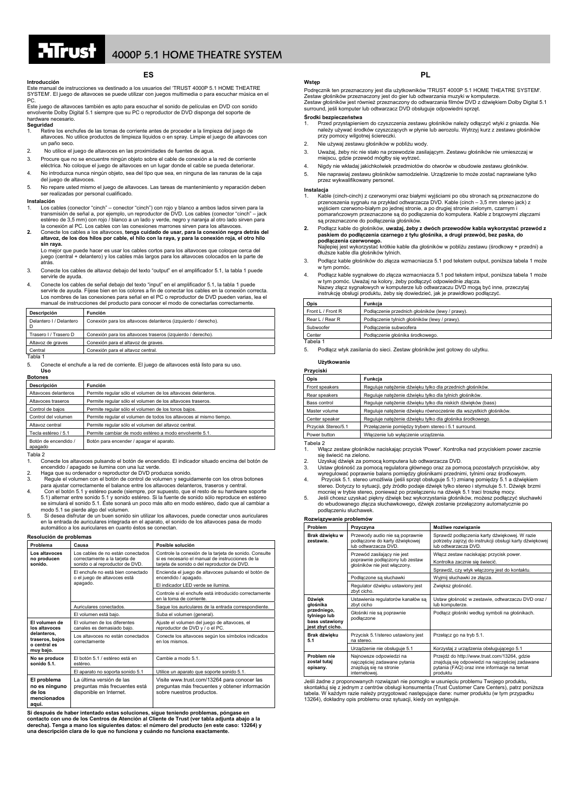**ES Introducción** 

Este manual de instrucciones va destinado a los usuarios del 'TRUST 4000P 5.1 HOME THEATRE SYSTEM'. El juego de altavoces se puede utilizar con juegos multim PC.

Este juego de altavoces también es apto para escuchar el sonido de películas en DVD con sonido envolvente Dolby Digital 5.1 siempre que su PC o reproductor de DVD disponga del soporte de hardware necesario. **Seguridad** 

- 1. Retire los enchufes de las tomas de corriente antes de proceder a la limpieza del juego de altavoces. No utilice productos de limpieza líquidos o en spray. Limpie el juego de altavoces con un paño seco.
- 2. No utilice el juego de altavoces en las proximidades de fuentes de agua.
- 3. Procure que no se encuentre ningún objeto sobre el cable de conexión a la red de corriente eléctrica. No coloque el juego de altavoces en un lugar donde el cable se pueda deteriorar.
- 4. No introduzca nunca ningún objeto, sea del tipo que sea, en ninguna de las ranuras de la caja del juego de altavoces.

5. No repare usted mismo el juego de altavoces. Las tareas de mantenimiento y reparación deben ser realizadas por personal cualificado.

### **Instalación**

- 1. Los cables (conector "cinch" conector "cinch") con rojo y blanco a ambos lados sirven para la<br>transmisión de señal a, por ejemplo, un reproductor de DVD. Los cables (conector "cinch" jack<br>estéreo de 3,5 mm) con rojo
- **2.** Conecte los cables a los altavoces, **tenga cuidado de usar, para la conexión negra detrás del altavoz, de los dos hilos por cable, el hilo con la raya, y para la conexión roja, el otro hilo sin raya.**

Lo mejor que puede hacer es usar los cables cortos para los altavoces que coloque cerca del juego (central + delantero) y los cables más largos para los altavoces colocados en la parte de atrás.

- 3. Conecte los cables de altavoz debajo del texto "output" en el amplificador 5.1, la tabla 1 puede servirle de ayuda.
- 4. Conecte los cables de señal debajo del texto "input" en el amplificador 5.1, la tabla 1 puede servirle de ayuda. Fíjese bien en los colores a fin de conectar los cables en la conexión correcta Los nombres de las conexiones para señal en el PC o reproductor de DVD pueden varias, lea el manual de instrucciones del producto para conocer el modo de conectarlas correctamente.

| Descripción             | Función                                                       |
|-------------------------|---------------------------------------------------------------|
| Delantero I / Delantero | Conexión para los altavoces delanteros (izquierdo / derecho). |
| Trasero I / Trasero D   | Conexión para los altavoces traseros (izquierdo / derecho).   |
| Altavoz de graves       | Conexión para el altavoz de graves.                           |
| Central                 | Conexión para el altavoz central.                             |
| Tabla 1                 |                                                               |

5. Conecte el enchufe a la red de corriente. El juego de altavoces está listo para su uso. **Uso**

### **Botones**

| <b>Descripción</b>                                                            | <b>Función</b>                                                     |  |
|-------------------------------------------------------------------------------|--------------------------------------------------------------------|--|
| Altavoces delanteros                                                          | Permite regular sólo el volumen de los altavoces delanteros.       |  |
| Altavoces traseros                                                            | Permite regular sólo el volumen de los altavoces traseros.         |  |
| Control de bajos                                                              | Permite regular sólo el volumen de los tonos bajos.                |  |
| Control del volumen                                                           | Permite regular el volumen de todos los altavoces al mismo tiempo. |  |
| Altavoz central                                                               | Permite regular sólo el volumen del altavoz central.               |  |
| Tecla estéreo / 5.1<br>Permite cambiar de modo estéreo a modo envolvente 5.1. |                                                                    |  |
| Botón de encendido /<br>apagado                                               | Botón para encender / apagar el aparato.                           |  |

### Tabla 2

1. Conecte los altavoces pulsando el botón de encendido. El indicador situado encima del botón de

- encendido / apagado se ilumina con una luz verde.<br>2. Haga que su ordenador o reproductor de DVD produzca sonido.<br>3. Regule el volumen con el botón de control de volumen y seguidamente con los otros botones
- para ajustar correctamente el balance entre los altavoces delanteros, traseros y central.<br>Con el botón 5.1 y estéreo puede (siempre, por supuesto, que el resto de su hardware soporte<br>5.1) alternar entre sonido 5.1 y sonido
- modo 5.1 se pierde algo del volumen. 5. Si desea disfrutar de un buen sonido sin utilizar los altavoces, puede conectar unos auriculares en la entrada de auriculares integrada en el aparato, el sonido de los altavoces pasa de modo automático a los auriculares en cuanto éstos se conectan.

### **Resolución de problemas**

| Problema                                                                                      | Causa                                                                                                 | Posible solución                                                                                                                                          |  |
|-----------------------------------------------------------------------------------------------|-------------------------------------------------------------------------------------------------------|-----------------------------------------------------------------------------------------------------------------------------------------------------------|--|
| Los altavoces<br>no producen<br>sonido.                                                       | Los cables de no están conectados<br>correctamente a la tarjeta de<br>sonido o al reproductor de DVD. | Controle la conexión de la tarjeta de sonido. Consulte<br>si es necesario el manual de instrucciones de la<br>tarjeta de sonido o del reproductor de DVD. |  |
|                                                                                               | El enchufe no está bien conectado<br>o el juego de altavoces está                                     | Encienda el juego de altavoces pulsando el botón de<br>encendido / apagado.                                                                               |  |
|                                                                                               | apagado.                                                                                              | El indicador LED verde se ilumina.                                                                                                                        |  |
|                                                                                               |                                                                                                       | Controle si el enchufe está introducido correctamente<br>en la toma de corriente.                                                                         |  |
|                                                                                               | Auriculares conectados.                                                                               | Saque los auriculares de la entrada correspondiente.                                                                                                      |  |
|                                                                                               | El volumen está bajo.                                                                                 | Suba el volumen (general).                                                                                                                                |  |
| El volumen de<br>los altavoces<br>delanteros.<br>traseros, bajos<br>o central es<br>muy bajo. | El volumen de los diferentes<br>canales es demasiado bajo.                                            | Ajuste el volumen del juego de altavoces, el<br>reproductor de DVD y / o el PC.                                                                           |  |
|                                                                                               | Los altavoces no están conectados<br>correctamente                                                    | Conecte los altavoces según los símbolos indicados<br>en los mismos.                                                                                      |  |
| No se produce<br>sonido 5.1.                                                                  | El botón 5.1 / estéreo está en<br>estéreo.                                                            | Cambie a modo 5.1.                                                                                                                                        |  |
|                                                                                               | El aparato no soporta sonido 5.1                                                                      | Utilice un aparato que soporte sonido 5.1.                                                                                                                |  |
| El problema<br>no es ninguno<br>de los<br>mencionados<br>aguí.                                | La última versión de las<br>preguntas más frecuentes está<br>disponible en Internet.                  | Visite www.trust.com/13264 para conocer las<br>preguntas más frecuentes y obtener información<br>sobre nuestros productos.                                |  |

Si después de haber intentado estas soluciones, sigue teniendo problemas, póngase en<br>contacto con uno de los Centros de Atención al Cliente de Trust (ver tabla adjunta abajo a la<br>derecha). Tenga a mano los siguientes datos **una descripción clara de lo que no funciona y cuándo no funciona exactamente.**

# **PL Wstę<sup>p</sup>**

Podręcznik ten przeznaczony jest dla użytkowników 'TRUST 4000P 5.1 HOME THEATRE SYSTEM'. Zestaw głośników przeznaczony jest do gier lub odtwarzania muzyki w komputerze.<br>Zestaw głośników jest również przeznaczony do odtwarzania filmów DVD z dźwiękiem Dolby Digital 5.1<br>surround, jeśli komputer lub odtwarzacz DVD

### **Środki bezpieczeństwa**

- 1. Przed przystąpieniem do czyszczenia zestawu głośników należy odłączyć wtyki z gniazda. Nie należy używać środków czyszczących w płynie lub aerozolu. Wytrzyj kurz z zestawu głośników przy pomocy wilgotnej ściereczki.
- 2. Nie używaj zestawu głośników w pobliżu wody.
- 3. Uważaj, żeby nic nie stało na przewodzie zasilającym. Zestawu głośników nie umieszczaj w miejscu, gdzie przewód mógłby się wytrzeć.
- 4. Nigdy nie wkładaj jakichkolwiek przedmiotów do otworów w obudowie zestawu głośników.
- 5. Nie naprawiaj zestawu głośników samodzielnie. Urządzenie to może zostać naprawiane tylko przez wykwalifikowany personel.

### **Instalacja**

- 1. Kable (cinch-cinch) z czerwonymi oraz białymi wyjściami po obu stronach są przeznaczone do<br>przenoszenia sygnału na przykład odtwarzacza DVD. Kable (cinch 3,5 mm stereo jack) z<br>wyjściem czerwono-białym po jednej stroni są przeznaczone do podłączenia głośników.
- 2. Podłącz kable do głośników, **uważaj, żeby z dwóch przewodów kabla wykorzystać przewód z**<br>paskiem d**o podłączenia czarnego z tyłu głośnika, a drugi przewód, bez paska, do<br>podłączenia czerwonego.<br>Najlepiej jest wykorzysta**

dłuższe kable dla głośników tylnich.

- 3. Podłącz kable głośników do złącza wzmacniacza 5.1 pod tekstem output, poniższa tabela 1 może w tym pomóc.
- 4. Podłącz kable sygnałowe do złącza wzmacniacza 5.1 pod tekstem intput, poniższa tabela 1 może<br>w tym pomóc. Uważaj na kolory, żeby podłączyć odpowiednie złącza.<br>Nazwy złącz sygnałowych w komputerze lub odtwarzaczu DVD mog

| Opis              | Funkcia                                         |  |
|-------------------|-------------------------------------------------|--|
| Front L / Front R | Podłączenie przednich głośników (lewy / prawy). |  |
| Rear L / Rear R   | Podłączenie tylnich głośników (lewy / prawy).   |  |
| Subwoofer         | Podłaczenie subwoofera                          |  |
| Center            | Podłączenie głośnika środkowego.                |  |
| Tabela 1          |                                                 |  |

5. Podłącz wtyk zasilania do sieci. Zestaw głośników jest gotowy do użytku.

# **Użytkowanie**

| Przyciski           |                                                                   |  |
|---------------------|-------------------------------------------------------------------|--|
| Opis                | Funkcia                                                           |  |
| Front speakers      | Reguluje nateżenie dźwięku tylko dla przednich głośników.         |  |
| Rear speakers       | Reguluje nateżenie dźwięku tylko dla tylnich głośników.           |  |
| Bass control        | Reguluje nateżenie dźwięku tylko dla niskich dźwięków (bass)      |  |
| Master volume       | Reguluje nateżenie dźwięku równocześnie dla wszystkich głośników. |  |
| Center speaker      | Reguluje nateżenie dźwięku tylko dla głośnika środkowego.         |  |
| Przycisk Stereo/5.1 | Przełączenie pomiędzy trybem stereo i 5.1 surround.               |  |
| Power button        | Włączenie lub wyłaczenie urządzenia.                              |  |
| $T - L - L - R$     |                                                                   |  |

Tabela 2 1. Włącz zestaw głośników naciskając przycisk 'Power'. Kontrolka nad przyciskiem power zacznie się świecić na zielono.

2. Uzyskaj dźwięk za pomocą komputera lub odtwarzacza DVD.

3. Ustaw głośność za pomocą regulatora głównego oraz za pomocą pozostałych przycisków, aby<br>wyregulować poprawnie balans pomiędzy głośnikami przednimi, tylnimi oraz środkowym.<br>4. Przycisk 5.1. stereo umożliwia (jeśli sprzęt

stereo. Dotyczy to sytuacji, gdy źródło podaje dźwięk tylko stereo i stymuluje 5.1. Dźwięk brzmi<br>mocniej w trybie stereo, ponieważ po przełączeniu na dźwięk 5.1 traci troszkę mocy.<br>5. Jeśli chcesz uzyskać piękny dźwięk

do wbudowanego złącza słuchawkowego, dźwięk zostanie przełączony automatycznie po podłączeniu słuchawek.

| Rozwiązywanie problemów                                                                 |                                                                                                     |                                                                                                                                                            |  |
|-----------------------------------------------------------------------------------------|-----------------------------------------------------------------------------------------------------|------------------------------------------------------------------------------------------------------------------------------------------------------------|--|
| Problem                                                                                 | Przyczyna                                                                                           | Możliwe rozwiazanie                                                                                                                                        |  |
| Brak dźwięku w<br>zestawie.                                                             | Przewody audio nie są poprawnie<br>podłączone do karty dźwiękowej<br>lub odtwarzacza DVD.           | Sprawdź podłączenia karty dźwiękowej. W razie<br>potrzeby zajrzyj do instrukcji obsługi karty dźwiękowej<br>lub odtwarzącza DVD.                           |  |
|                                                                                         | Przewód zasilający nie jest<br>poprawnie podłączony lub zestaw                                      | Włącz zestaw naciskając przycisk power.<br>Kontrolka zacznie się świecić.                                                                                  |  |
|                                                                                         | głośników nie jest właczony.                                                                        | Sprawdź, czy wtyk włączony jest do kontaktu.                                                                                                               |  |
|                                                                                         | Podłączone są słuchawki                                                                             | Wyjmij słuchawki ze złacza.                                                                                                                                |  |
|                                                                                         | Regulator dźwięku ustawiony jest<br>zbyt cicho.                                                     | Zwiększ głośność.                                                                                                                                          |  |
| Dźwięk<br>głośnika<br>przedniego,<br>tylniego lub<br>bass ustawiony<br>jest zbyt cicho. | Ustawienia regulatorów kanałów są<br>zbyt cicho                                                     | Ustaw głośność w zestawie, odtwarzaczu DVD oraz /<br>lub komputerze.                                                                                       |  |
|                                                                                         | Głośniki nie są poprawnie<br>podłączone                                                             | Podłącz głośniki według symboli na głośnikach.                                                                                                             |  |
| Brak dźwięku<br>5.1                                                                     | Przycisk 5.1/stereo ustawiony jest<br>na stereo.                                                    | Przełacz go na tryb 5.1.                                                                                                                                   |  |
|                                                                                         | Urządzenie nie obsługuje 5.1                                                                        | Korzystaj z urządzenia obsługującego 5.1                                                                                                                   |  |
| Problem nie<br>został tutaj<br>opisany.                                                 | Najnowsze odpowiedzi na<br>najczęściej zadawane pytania<br>znajduja się na stronie<br>internetowei. | Przejdź do http://www.trust.com/13264, gdzie<br>znajdują się odpowiedzi na najczęściej zadawane<br>pytania (FAQ) oraz inne informacje na temat<br>produktu |  |

Jeśli żadne z proponowanych rozwiązań nie pomogło w usunięciu problemu Twojego produktu,<br>skontaktuj się z jednym z centrów obsługi konsumenta (Trust Customer Care Centers), patrz poniższa<br>tabela. W każdym razie należy przy 13264), dokładny opis problemu oraz sytuacji, kiedy on występuje.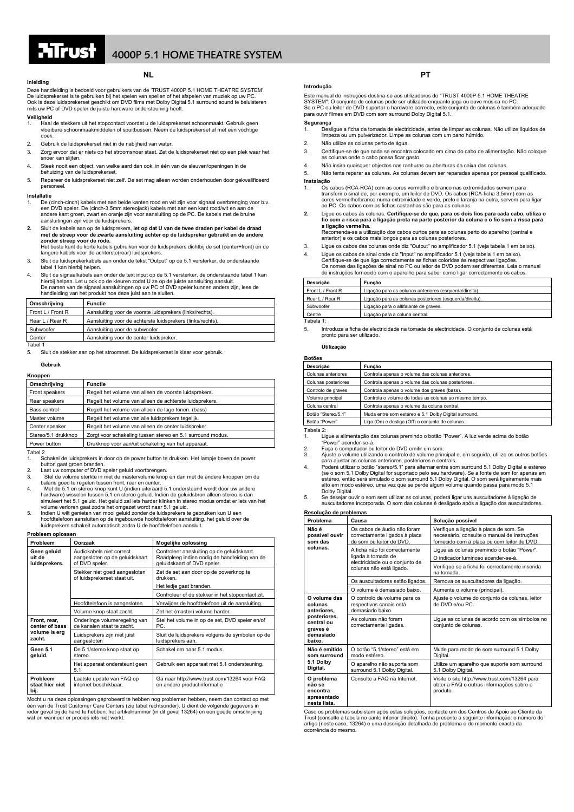

# $\overline{1}$   $\overline{1}$   $\overline{1}$   $\overline{1}$   $\overline{4}$  4000P 5.1 HOME THEATRE SYSTEM

# **NL Inleiding**

Deze handleiding is bedoeld voor gebruikers van de 'TRUST 4000P 5.1 HOME THEATRE SYSTEM'. De luidsprekerset is te gebruiken bij het spelen van spellen of het afspelen van muziek op uw PC. Ook is deze luidsprekerset geschikt om DVD films met Dolby Digital 5.1 surround sound te beluisteren mits uw PC of DVD speler de juiste hardware ondersteuning heeft.

### **Veiligheid**

- 1. Haal de stekkers uit het stopcontact voordat u de luidsprekerset schoonmaakt. Gebruik geen vloeibare schoonmaakmiddelen of spuitbussen. Neem de luidsprekerset af met een vochtige doek.
- 2. Gebruik de luidsprekerset niet in de nabijheid van water.<br>3. Zorg ervoor dat er niets op het stroomsnoer staat. Zet de
- 3. Zorg ervoor dat er niets op het stroomsnoer staat. Zet de luidsprekerset niet op een plek waar het snoer kan slijten.
- 4. Steek nooit een object, van welke aard dan ook, in één van de sleuven/openingen in de behuizing van de luidsprekerset.
- 5. Repareer de luidsprekerset niet zelf. De set mag alleen worden onderhouden door gekwalificeerd personeel.

### **Installatie**

- 1. De (cinch-cinch) kabels met aan beide kanten rood en wit zijn voor signaal overbrenging voor b.v. een DVD speler. De (cinch-3.5mm stereojack) kabels met aan een kant rood/wit en aan de andere kant groen, zwart en oranje zijn voor aansluiting op de PC. De kabels met de bruine aansluitingen zijn voor de luidsprekers.
- **2.** Sluit de kabels aan op de luidsprekers, **let op dat U van de twee draden per kabel de draad met de streep voor de zwarte aansluiting achter op de luidspreker gebruikt en de andere zonder streep voor de rode.**  Het beste kunt de korte kabels gebruiken voor de luidsprekers dichtbij de set (center+front) en de
- langere kabels voor de achterste(rear) luidsprekers.
- 3. Sluit de luidsprekerkabels aan onder de tekst "Output" op de 5.1 versterker, de onderstaande tabel 1 kan hierbij helpen.
- 4. Sluit de signaalkabels aan onder de text input op de 5.1 versterker, de onderstaande tabel 1 kan hierbij helpen. Let u ook op de kleuren zodat U ze op de juiste aansluiting aansluit. De namen van de signaal aansluitingen op uw PC of DVD speler kunnen anders zijn, lees de handleiding van het produkt hoe deze juist aan te sluiten.

| Omschrijving      | Functie                                                    |
|-------------------|------------------------------------------------------------|
| Front L / Front R | Aansluiting voor de voorste luidsprekers (links/rechts).   |
| Rear L / Rear R   | Aansluiting voor de achterste luidsprekers (links/rechts). |
| Subwoofer         | Aansluiting voor de subwoofer                              |
| Center            | Aansluiting voor de center luidspreker.                    |

- Tabel 1 5. Sluit de stekker aan op het stroomnet. De luidsprekerset is klaar voor gebruik.
- 

## **Gebruik**

### **Knoppen**

| Omschrijving        | <b>Functie</b>                                             |  |
|---------------------|------------------------------------------------------------|--|
| Front speakers      | Regelt het volume van alleen de voorste luidsprekers.      |  |
| Rear speakers       | Regelt het volume van alleen de achterste luidsprekers.    |  |
| Bass control        | Regelt het volume van alleen de lage tonen. (bass)         |  |
| Master volume       | Regelt het volume van alle luidsprekers tegelijk.          |  |
| Center speaker      | Regelt het volume van alleen de center luidspreker.        |  |
| Stereo/5.1 drukknop | Zorgt voor schakeling tussen stereo en 5.1 surround modus. |  |
| Power button        | Drukknop voor aan/uit schakeling van het apparaat.         |  |

Tabel 2

- 1. Schakel de luidsprekers in door op de power button te drukken. Het lampje boven de power
- button gaat groen branden. 2. Laat uw computer of DVD speler geluid voortbrengen.
- 3. Stel de volume sterkte in met de mastervolume knop en dan met de andere knoppen om de
- balans goed te regelen tussen front, rear en center. 4. Met de 5.1 en stereo knop kunt U (indien uiteraard 5.1 ondersteund wordt door uw andere<br>hardware) wisselen tussen 5.1 en stereo geluid. Indien de geluidsbron alleen stereo is dan<br>simuleert het 5.1 geluid. Het geluid zal
- volume verloren gaat zodra het omgezet wordt naar 5.1 geluid.
- 5. Indien U wilt genieten van mooi geluid zonder de luidsprekers te gebruiken kun U een<br>hoofdtelefoon aansluiten op de ingebouwde hoofdtelefoon aansluitig, het geluid over de<br>luidsprekers schakelt automatisch zodra U de ho

### **Probleem oplossen**

| Probleem                                                  | Oorzaak                                                                      | Mogelijke oplossing                                                                                                       |
|-----------------------------------------------------------|------------------------------------------------------------------------------|---------------------------------------------------------------------------------------------------------------------------|
| Geen geluid<br>uit de<br>luidsprekers.                    | Audiokabels niet correct<br>aangesloten op de geluidskaart<br>of DVD speler. | Controleer aansluiting op de geluidskaart.<br>Raadpleeg indien nodig de handleiding van de<br>geluidskaart of DVD speler. |
|                                                           | Stekker niet goed aangesloten<br>of luidsprekerset staat uit.                | Zet de set aan door op de powerknop te<br>drukken.<br>Het ledje gaat branden.                                             |
|                                                           |                                                                              | Controleer of de stekker in het stopcontact zit.                                                                          |
|                                                           | Hoofdtelefoon is aangesloten                                                 | Verwijder de hoofdtelefoon uit de aansluiting.                                                                            |
|                                                           | Volume knop staat zacht.                                                     | Zet het (master) volume harder.                                                                                           |
| Front, rear,<br>center of bass<br>volume is erg<br>zacht. | Onderlinge volumeregeling van<br>de kanalen staat te zacht.                  | Stel het volume in op de set, DVD speler en/of<br>PC.                                                                     |
|                                                           | Luidsprekers zijn niet juist<br>aangesloten                                  | Sluit de luidsprekers volgens de symbolen op de<br>luidsprekers aan.                                                      |
| Geen 5.1<br>geluid.                                       | De 5.1/stereo knop staat op<br>stereo.                                       | Schakel om naar 5.1 modus.                                                                                                |
|                                                           | Het apparaat ondersteunt geen<br>5.1                                         | Gebruik een apparaat met 5.1 ondersteuning.                                                                               |
| Probleem<br>staat hier niet<br>bij.                       | Laatste update van FAQ op<br>internet beschikbaar.                           | Ga naar http://www.trust.com/13264 voor FAQ<br>en andere productinformatie                                                |

Mocht u na deze oplossingen geprobeerd te hebben nog problemen hebben, neem dan contact op met één van de Trust Customer Care Centers (zie tabel rechtsonder). U dient de volgende gegevens in ieder geval bij de hand te hebben: het artikelnummer (in dit geval 13264) en een goede omschrijving wat en wanneer er precies iets niet werkt.

## **Introdução**

Este manual de instruções destina-se aos utilizadores do "TRUST 4000P 5.1 HOME THEATRE SYSTEM". O conjunto de colunas pode ser utilizado enquanto joga ou ouve música no PC.<br>Se o PC ou leitor de DVD suportar o hardware correcto, este conjunto de colunas é também adequado<br>para ouvir filmes em DVD com som surro

### **Segurança**

- 1. Desligue a ficha da tomada de electricidade, antes de limpar as colunas. Não utilize líquidos de limpeza ou um pulverizador. Limpe as colunas com um pano húmido.
- 2. Não utilize as colunas perto de água.
- 3. Certifique-se de que nada se encontra colocado em cima do cabo de alimentação. Não coloque as colunas onde o cabo possa ficar gasto.
- 4. Não insira quaisquer objectos nas ranhuras ou aberturas da caixa das colunas.
- 5. Não tente reparar as colunas. As colunas devem ser reparadas apenas por pessoal qualificado.
- **Instalação**<br>1. Os cabos (RCA-RCA) com as cores vermelho e branco nas extremidades servem para transferir o sinal de, por exemplo, um leitor de DVD. Os cabos (RCA-ficha 3,5mm) com as<br>cores vermelho/branco numa extremidade e verde, preto e laranja na outra, servem para ligar<br>ao PC. Os cabos com as fichas castanhas sã
- **2.** Ligue os cabos às colunas. **Certifique-se de que, para os dois fios para cada cabo, utiliza o fio com a risca para a ligação preta na parte posterior da coluna e o fio sem a risca para a ligação vermelha.**
- Recomenda-se a utilização dos cabos curtos para as colunas perto do aparelho (central e anterior) e os cabos mais longos para as colunas posteriores.
- 3. Ligue os cabos das colunas onde diz "Output" no amplificador 5.1 (veja tabela 1 em baixo).
- 4. Ligue os cabos de sinal onde diz "Input" no amplificador 5.1 (veja tabela 1 em baixo).<br>Certifique-se de que liga correctamente as fichas coloridas às respectivas ligações.<br>Os nomes das ligações de sinal no PC ou leitor de instruções fornecido com o aparelho para saber como ligar correctamente os cabos.

| Descricão         | Funcão                                                  |  |
|-------------------|---------------------------------------------------------|--|
| Front L / Front R | Ligação para as colunas anteriores (esquerda/direita).  |  |
| Rear L / Rear R   | Ligação para as colunas posteriores (esquerda/direita). |  |
| Subwoofer         | Ligação para o altifalante de graves.                   |  |
| Centre            | Ligação para a coluna central.                          |  |

Tabela 1:

5. Introduza a ficha de electricidade na tomada de electricidade. O conjunto de colunas está pronto para

### **Utilização**

| Descricão           | Funcão                                                |  |
|---------------------|-------------------------------------------------------|--|
| Colunas anteriores  | Controla apenas o volume das colunas anteriores.      |  |
| Colunas posteriores | Controla apenas o volume das colunas posteriores.     |  |
| Controlo de graves  | Controla apenas o volume dos graves (bass).           |  |
| Volume principal    | Controla o volume de todas as colunas ao mesmo tempo. |  |
| Coluna central      | Controla apenas o volume da coluna central.           |  |
| Botão "Stereo/5.1"  | Muda entre som estéreo e 5.1 Dolby Digital surround.  |  |
| Botão "Power"       | Liga (On) e desliga (Off) o conjunto de colunas.      |  |

Tabela 2: 1. Ligue a alimentação das colunas premindo o botão "Power". A luz verde acima do botão "Power" acender-se-á.

2. Faça o computador ou leitor de DVD emitir um som.

3. Ajuste o volume utilizando o controlo de volume principal e, em seguida, utilize os outros botões

- para ajustar as colunas anteriores, posteriores e centrais.<br>Poderá utilizar o botão "stereo/5.1" para alternar entre som surround 5.1 Dolby Digital e estéreo<br>(se o som 5.1 Dolby Digital for suportado pelo seu hardware). Se alto em modo estéreo, uma vez que se perde algum volume quando passa para modo 5.1 Dolby Digital
- 5. Se desejar ouvir o som sem utilizar as colunas, poderá ligar uns auscultadores à ligação de auscultadores incorporada. O som das colunas é desligado após a ligação dos auscultadores.

| Resolução de problemas                                                                                  |                                                                                                                   |                                                                                                                                      |  |
|---------------------------------------------------------------------------------------------------------|-------------------------------------------------------------------------------------------------------------------|--------------------------------------------------------------------------------------------------------------------------------------|--|
| Problema                                                                                                | Causa                                                                                                             | Solução possível                                                                                                                     |  |
| Não é<br>possível ouvir<br>som das<br>colunas.                                                          | Os cabos de áudio não foram<br>correctamente ligados à placa<br>de som ou leitor de DVD.                          | Verifique a ligação à placa de som. Se<br>necessário, consulte o manual de instruções<br>fornecido com a placa ou com leitor de DVD. |  |
|                                                                                                         | A ficha não foi correctamente<br>ligada à tomada de<br>electricidade ou o conjunto de<br>colunas não está ligado. | Lique as colunas premindo o botão "Power".<br>O indicador luminoso acender-se-á.                                                     |  |
|                                                                                                         |                                                                                                                   | Verifique se a ficha foi correctamente inserida<br>na tomada.                                                                        |  |
|                                                                                                         | Os auscultadores estão ligados.                                                                                   | Remova os auscultadores da ligação.                                                                                                  |  |
|                                                                                                         | O volume é demasiado baixo.                                                                                       | Aumente o volume (principal).                                                                                                        |  |
| O volume das<br>colunas<br>anteriores.<br>posteriores.<br>central ou<br>graves é<br>demasiado<br>baixo. | O controlo de volume para os<br>respectivos canais está<br>demasiado baixo.                                       | Ajuste o volume do conjunto de colunas, leitor<br>de DVD e/ou PC.                                                                    |  |
|                                                                                                         | As colunas não foram<br>correctamente ligadas.                                                                    | Lique as colunas de acordo com os símbolos no<br>conjunto de colunas.                                                                |  |
| Não é emitido<br>som surround<br>5.1 Dolby<br>Digital.                                                  | O botão "5.1/stereo" está em<br>modo estéreo.                                                                     | Mude para modo de som surround 5.1 Dolby<br>Digital.                                                                                 |  |
|                                                                                                         | O aparelho não suporta som<br>surround 5.1 Dolby Digital.                                                         | Utilize um aparelho que suporte som surround<br>5.1 Dolby Digital.                                                                   |  |
| O problema<br>não se<br>encontra<br>apresentado<br>nesta lista.                                         | Consulte a FAQ na Internet.                                                                                       | Visite o site http://www.trust.com/13264 para<br>obter a FAQ e outras informações sobre o<br>produto.                                |  |

Caso os problemas subsistam após estas soluções, contacte um dos Centros de Apoio ao Cliente da Trust (consulte a tabela no canto inferior direito). Tenha presente a seguinte informação: o número do artigo (neste caso, 13264) e uma descrição detalhada do problema e do momento exacto da ocorrência do mes

**PT**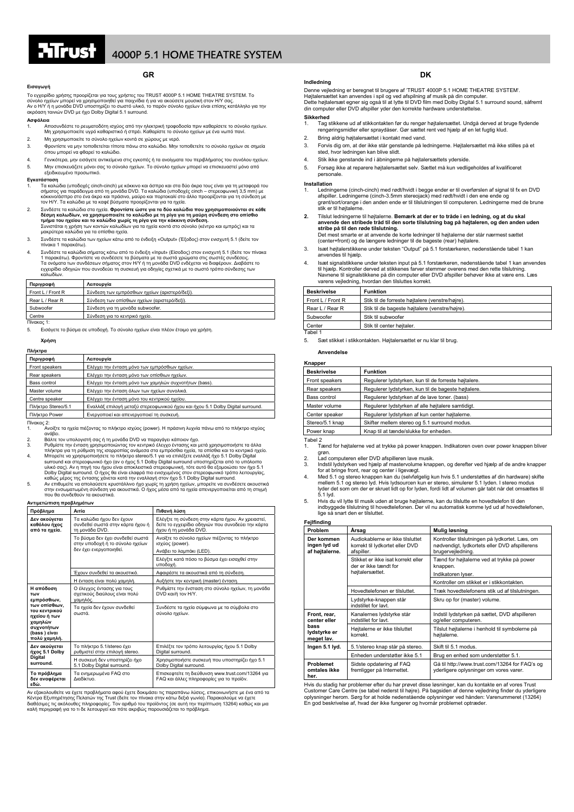## **GR**

### **Εισαγωγή**

Το εγχειρίδιο χρήσης προορίζεται για τους χρήστες του TRUST 4000P 5.1 HOME THEATRE SYSTEM. Το σύνολο ηχείων μπορεί να χρησιμοποιηθεί για παιχνίδια ή για να ακούσετε μουσική στον ΗΛ΄ σας.<br>Αν ο ΗΛ' ή η μονάδα DVD υποστηρίζει το σωστό υλικό, το παρόν σύνολο ηχείων είναι επίσης κατάλληλο για την<br>ακρόαση ταινιών DVD με

### **Ασφάλεια**

- 1. Αποσυνδέστε το ρευματοδότη ισχύος από την ηλεκτρική τροφοδοσία πριν καθαρίσετε το σύνολο ηχείων.<br>Μη χρησιμοποιείτε υγρό καθαριστικό ή σπρέι. Καθαρίστε το σύνολο ηχείων με ένα νωπό πανί.
- 2. Μη χρησιμοποιείτε το σύνολο ηχείων κοντά σε χώρους με νερό.<br>3. Φροντίστε να μην τοποθετείται τίποτα πάνω στο καλώδιο. Μην τ 3. Φροντίστε να µην τοποθετείται τίποτα πάνω στο καλώδιο. Μην τοποθετείτε το σύνολο ηχείων σε σηµεία
- όπου µπορεί να φθαρεί το καλώδιο. 4. Γενικότερα, µην εισάγετε αντικείµενα στις εγκοπές ή τα ανοίγµατα του περιβλήµατος του συνόλου ηχείων.
- 5. Μην επισκευάζετε µόνοι σας το σύνολο ηχείων. Το σύνολο ηχείων µπορεί να επισκευαστεί µόνο από εξειδικευµένο προσωπικό.

### **Εγκατάσταση**

- 1. Τα καλώδια (υποδοχές cinch-cinch) µε κόκκινο και άσπρο και στα δύο άκρα τους είναι για τη µεταφορά του σήματος για παράδειγμα από τη μονάδα DVD. Τα καλώδια (υποδοχές cinch – στερεοφωνική 3,5 mm) με<br>κόκκινο/άστηρο στο ένα άκρο και πράσινο, μαύρο και πορτοκαλί στο άλλο προορίζονται για τη σύνδεση με<br>τον H/Y. Τα καλώδια με τα
- 2. Συνδέστε τα καλώδια στα ηχεία. Φροντίστε ώστε για τα δύο καλώδια που χρησιμοποιούνται σε κάθε<br>Τμήμα του ηχείου, να χρησιμοποιείτε το καλώδιο με τη ρίγα για τη υαύρη σύνδεση στο οπίσθιο<br>Τμήμα του ηχείου και το καλώδιο χ
- 3. Συνδέστε τα καλώδια των ηχείων κάτω από το ένδειξη «Output» (Έξοδος) στον ενισχυτή 5.1 (δείτε τον πίνακα 1 παρακάτω).
- 4. Συνδέστε τα καλώδια σήματος κάτω από το ένδειξη «Input» (Είσοδος) στον ενισχυτή 5.1 (δείτε τον πίνακα<br>1 παρακάτω). Φροντίστε να συνδέσετε τα βύσματα με τα σωστά χρώματα στις σωστές συνδέσεις.<br>Τα ονόματα των συνδέσεων

| Περιγραφή         | Λειτουργία                                     |
|-------------------|------------------------------------------------|
| Front L / Front R | Σύνδεση των εμπρόσθιων ηχείων (αριστερό/δεξί). |
| Rear L / Rear R   | Σύνδεση των οπίσθιων ηχείων (αριστερό/δεξί).   |
| Subwoofer         | Σύνδεση για τη μονάδα subwoofer.               |
| Centre            | Σύνδεση για το κεντρικό ηχείο.                 |

Πίνακας 1:

5. Εισάγετε το βύσµα σε υποδοχή. Το σύνολο ηχείων είναι πλέον έτοιµο για χρήση.

### **Χρήση**

| Πλήκτρα            |                                                                                |
|--------------------|--------------------------------------------------------------------------------|
| Περιγραφή          | Λειτουργία                                                                     |
| Front speakers     | Ελέγχει την ένταση μόνο των εμπρόσθιων ηχείων.                                 |
| Rear speakers      | Ελέγχει την ένταση μόνο των οπίσθιων ηχείων.                                   |
| Bass control       | Ελέγχει την ένταση μόνο των χαμηλών συχνοτήτων (bass).                         |
| Master volume      | Ελέγχει την ένταση όλων των ηχείων συνολικά.                                   |
| Centre speaker     | Ελέγχει την ένταση μόνο του κεντρικού ηχείου.                                  |
| Πλήκτρο Stereo/5.1 | Εναλλάξ επιλογή μεταξύ στερεοφωνικού ήχου και ήχου 5.1 Dolby Digital surround. |
| Πλήκτρο Power      | Ενεργοποιεί και απενεργοποιεί τη συσκευή.                                      |
| Πίνακας 2:         |                                                                                |

1. Ανοίξτε τα ηχεία πιέζοντας το πλήκτρο ισχύος (power). Η πράσινη λυχνία πάνω από το πλήκτρο ισχύος

αναρει.<br>Βάλτε τον υπολογιστή σας ή τη μονάδα DVD να παραγάγει κάποιον ήχο.

- 2. Βάλτε τον υπολογιστή σας ή τη μονάδα DVD να παραγάγει κάποιον ήχο.<br>3. Ρυθμίστε την ένταση χρησιμοποιώντας τον κεντρικό έλεγχο έντασης και μετά χρησιμοποιήστε τα άλλα πλήκτρα για τη ρύθμιστη της ισορροπίας ανάμεσα στα
- 

### **Αντιµετώπιση προβληµάτων**

| Πρόβλημα                                                                                                                                   | Αιτία                                                                                          | Πιθανή λύση                                                                                                                       |
|--------------------------------------------------------------------------------------------------------------------------------------------|------------------------------------------------------------------------------------------------|-----------------------------------------------------------------------------------------------------------------------------------|
| Δεν ακούγεται<br>καθόλου ήχος<br>από τα ηχεία.                                                                                             | Τα καλώδια ήχου δεν έχουν<br>συνδεθεί σωστά στην κάρτα ήχου ή<br>τη μονάδα DVD.                | Ελέγξτε τη σύνδεση στην κάρτα ήχου. Αν χρειαστεί,<br>δείτε το εγχειρίδιο οδηγιών που συνοδεύει την κάρτα<br>ήχου ή τη μονάδα DVD. |
|                                                                                                                                            | Το βύσμα δεν έχει συνδεθεί σωστά<br>στην υποδοχή ή το σύνολο ηχείων<br>δεν έχει ενεργοποιηθεί. | Ανοίξτε το σύνολο ηχείων πιέζοντας το πλήκτρο<br>ισχύος (power).<br>Ανάβει το λαμπάκι (LED).                                      |
|                                                                                                                                            |                                                                                                | Ελέγξτε κατά πόσο το βύσμα έχει εισαχθεί στην<br>υποδοχή.                                                                         |
|                                                                                                                                            | Έχουν συνδεθεί τα ακουστικά.                                                                   | Αφαιρέστε τα ακουστικά από τη σύνδεση.                                                                                            |
|                                                                                                                                            | Η ένταση είναι πολύ χαμηλή.                                                                    | Αυξήστε την κεντρική (master) ένταση.                                                                                             |
| Η απόδοση<br>Των<br>εμπρόσθιων,<br>των οπίσθιων,<br>του κεντρικού<br>ηχείου ή των<br>χαμηλών<br>συχνοτήτων<br>(bass) είναι<br>πολύ χαμηλή. | Ο έλεγχος έντασης για τους<br>σχετικούς διαύλους είναι πολύ<br>χαμηλός.                        | Ρυθμίστε την ένσταση στο σύνολο ηχείων, τη μονάδα<br>DVD και/ή τον H/Y.                                                           |
|                                                                                                                                            | Τα ηχεία δεν έχουν συνδεθεί<br>σωστά.                                                          | Συνδέστε τα ηχεία σύμφωνα με τα σύμβολα στο<br>σύνολο ηχείων.                                                                     |
| Δεν ακούνεται<br>ήχος 5.1 Dolby<br><b>Digital</b><br>surround.                                                                             | Το πλήκτρο 5.1/stereo έχει<br>ρυθμιστεί στην επιλογή stereo.                                   | Επιλέξτε τον τρόπο λειτουργίας ήχου 5.1 Dolby<br>Digital surround.                                                                |
|                                                                                                                                            | Η συσκευή δεν υποστηρίζει ήχο<br>5.1 Dolby Digital surround.                                   | Χρησιμοποιήστε συσκευή που υποστηρίζει ήχο 5.1<br>Dolby Digital surround.                                                         |
| Το πρόβλημα<br>δεν αναφέρεται<br>εδώ.                                                                                                      | Τα ενημερωμένα FAQ στο<br>Λιαδίκτυο.                                                           | Επισκεφτείτε τη διεύθυνση www.trust.com/13264 για<br>FAQ και άλλες πληροφορίες για το προϊόν.                                     |

Αν εξακολουθείτε να έχετε προβλήματα αφού έχετε δοκιμάσει τις παραπάνω λύσεις, επικοινωνήστε με ένα από τα<br>Κέντρα Εξυπηρέτησης Πελατών της Trust (δείτε τον πίνακα στην κάτω δεξώ γωνία). Παρακαλούμε να έχετε<br>διαθέσιμες τις

# **DK Indledning**

Denne vejledning er beregnet til brugere af 'TRUST 4000P 5.1 HOME THEATRE SYSTEM'.

Højtalersættet kan anvendes i spil og ved afspilning af musik på din computer.<br>Dette højtalersæt egner sig også til at lytte til DVD film med Dolby Digital 5.1 surround sound, såfremt

din computer eller DVD afspiller yder den korrekte hardware understøttelse. **Sikkerhed** 

- 1. Tag stikkene ud af stikkontakten før du rengør højtalersættet. Undgå derved at bruge flydende rengøringsmidler eller spraydåser. Gør sættet rent ved hjælp af en let fugtig klud.
- 2. Bring aldrig højtalersættet i kontakt med vand.
- 3. Forvis dig om, at der ikke står genstande på ledningerne. Højtalersættet må ikke stilles på et sted, hvor ledningen kan blive slidt.
- 4. Stik ikke genstande ind i åbningerne på højtalersættets yderside.
- 5. Forsøg ikke at reparere højtalersættet selv. Sættet må kun vedligeholdes af kvalificeret personale.

### **Installation**

- 1. Ledningerne (cinch-cinch) med rødt/hvidt i begge ender er til overførslen af signal til fx en DVD<br>afspiller. Ledningerne (cinch-3.5mm stereojack) med rødt/hvidt i den ene ende og<br>grønt/sort/orange i den anden ende er ti
- **2.** Tilslut ledningerne til højtalerne. **Bemærk at der er to tråde i en ledning, og at du skal anvende den stribede tråd til den sorte tilslutning bag på højtaleren, og den anden uden stribe på til den røde tilslutning.**  Det mest smarte er at anvende de korte ledninger til højtalerne der står nærmest sættet
	- (center+front) og de længere ledninger til de bageste (rear) højtalere.
- 3. Isæt højtalerstikkene under teksten "Output" på 5.1 forstærkeren, nedenstående tabel 1 kan anvendes til hjælp.
- 4. Isæt signalstikkene under teksten input på 5.1 forstærkeren, nedenstående tabel 1 kan anvendes til hjælp. Kontroller derved at stikkenes farver stemmer overens med den rette tilslutning. Navnene til signalstikkene på din computer eller DVD afspiller behøver ikke at være ens. Læs varens vejledning, hvordan den tilsluttes korrekt.

| <b>Beskrivelse</b> | <b>Funktion</b>                                 |
|--------------------|-------------------------------------------------|
| Front L / Front R  | Stik til de forreste højtalere (venstre/højre). |
| Rear L / Rear R    | Stik til de bageste højtalere (venstre/højre).  |
| Subwoofer          | Stik til subwoofer                              |
| Center             | Stik til center høitaler.                       |
| Tabel 1            |                                                 |

5. Sæt stikket i stikkontakten. Højtalersættet er nu klar til brug.

### **Anvendelse**

| Knapper            |                                                      |
|--------------------|------------------------------------------------------|
| <b>Beskrivelse</b> | <b>Funktion</b>                                      |
| Front speakers     | Regulerer lydstyrken, kun til de forreste højtalere. |
| Rear speakers      | Regulerer lydstyrken, kun til de bageste højtalere.  |
| Bass control       | Regulerer lydstyrken af de lave toner. (bass)        |
| Master volume      | Requierer lydstyrken af alle højtalere samtidigt.    |
| Center speaker     | Regulerer lydstyrken af kun center højtalerne.       |
| Stereo/5.1 knap    | Skifter mellem stereo og 5.1 surround modus.         |
| Power knap         | Knap til at tænde/slukke for enheden.                |
| Tahel 2            |                                                      |

1. Tænd for højtalerne ved at trykke på power knappen. Indikatoren oven over power knappen bliver grøn.

2. Lad computeren eller DVD afspilleren lave musik.

. Indstil lydstyrken ved hjælp af mastervolume knappen, og derefter ved hjælp af de andre knapper<br>for at bringe front, rear og center i ligevægt.<br>4. Med 5.1 og stereo knappen kan du (selvfølgelig kun hvis 5.1 understøttes

- lyder det som om der er skruet lidt op for lyden, fordi lidt af volumen går tabt når det omsættes til 5.1 lyd.
- 5. Hvis du vil lytte til musik uden at bruge højtalerne, kan du tilslutte en hovedtelefon til den indbyggede tilslutning til hovedtelefonen. Der vil nu automatisk komme lyd ud af hovedtelefonen, lige så snart den er tilsluttet.

| Fejlfinding                                                        |                                                                                   |                                                                                                                      |
|--------------------------------------------------------------------|-----------------------------------------------------------------------------------|----------------------------------------------------------------------------------------------------------------------|
| Problem                                                            | Årsag                                                                             | Mulig løsning                                                                                                        |
| Der kommen<br>ingen lyd ud<br>af højtalerne.                       | Audiokablerne er ikke tilsluttet<br>korrekt til lydkortet eller DVD<br>afspiller. | Kontroller tilslutningen på lydkortet. Læs, om<br>nødvendigt, lydkortets eller DVD afspillerens<br>brugervejledning. |
|                                                                    | Stikket er ikke isat korrekt eller<br>der er ikke tændt for<br>højtalersættet.    | Tænd for højtalerne ved at trykke på power<br>knappen.<br>Indikatoren lyser.                                         |
|                                                                    |                                                                                   | Kontroller om stikket er i stikkontakten.                                                                            |
|                                                                    | Hovedtelefonen er tilsluttet.                                                     | Træk hovedtelefonens stik ud af tilslutningen.                                                                       |
|                                                                    | Lydstyrke-knappen står<br>indstillet for layt.                                    | Skru op for (master) volume.                                                                                         |
| Front, rear,<br>center eller<br>bass<br>lydstyrke er<br>meget lav. | Kanalernes lydstyrke står<br>indstillet for layt.                                 | Indstil lydstyrken på sættet, DVD afspilleren<br>og/eller computeren.                                                |
|                                                                    | Højtalerne er ikke tilsluttet<br>korrekt.                                         | Tilslut højtalerne i henhold til symbolerne på<br>højtalerne.                                                        |
| Ingen 5.1 lyd.                                                     | 5.1/stereo knap står på stereo.                                                   | Skift til 5.1 modus.                                                                                                 |
|                                                                    | Enheden understøtter ikke 5.1                                                     | Brug en enhed som understøtter 5.1.                                                                                  |
| Problemet<br>omtales ikke<br>her.                                  | Sidste opdatering af FAQ<br>fremligger på Internettet.                            | Gå til http://www.trust.com/13264 for FAQ's og<br>yderligere oplysninger om vores varer.                             |

Hvis du stadig har problemer efter du har prøvet disse løsninger, kan du kontakte en af vores Trust Customer Care Centre (se tabel nederst til højre). På bagsiden af denne vejledning finder du yderligere oplysninger herom. Sørg for at holde nedenstående oplysninger ved hånden: Varenummeret (13264) En god beskrivelse af, hvad der ikke fungerer og hvornår problemet optræder.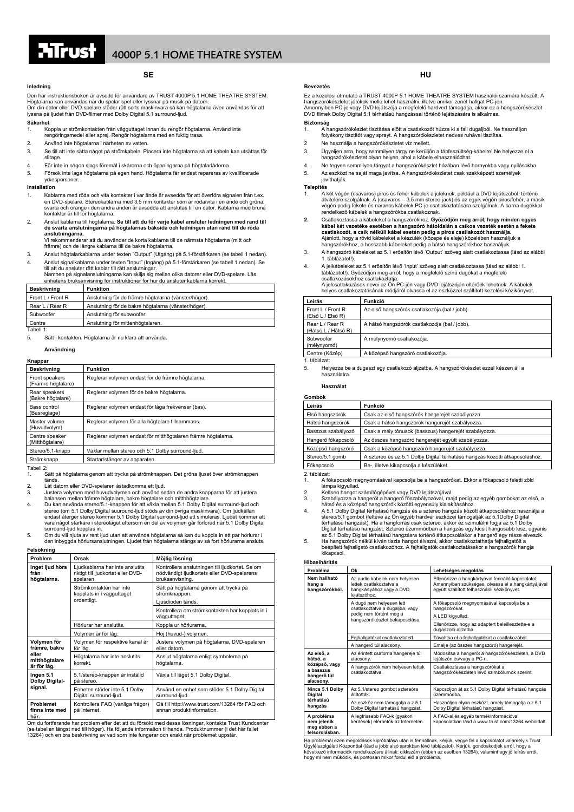## **SE**

### **Inledning**

Den här instruktionsboken är avsedd för användare av TRUST 4000P 5.1 HOME THEATRE SYSTEM. Högtalarna kan användas när du spelar spel eller lyssnar på musik på datorn.<br>Om din dator eller DVD-spelare stöder rätt sorts maskinvara så kan högtalarna även användas för att<br>lyssna på ljudet från DVD-filmer med Dolby Di

### **Säkerhet**

- 1. Koppla ur strömkontakten från vägguttaget innan du rengör högtalarna. Använd inte
- rengöringsmedel eller sprej. Rengör högtalarna med en fuktig trasa.
- 2. Använd inte högtalarna i närheten av vatten.
- 3. Se till att inte sätta något på strömkabeln. Placera inte högtalarna så att kabeln kan utsättas för slitage.
- 4. För inte in någon slags föremål i skårorna och öppningarna på högtalarlådorna.
- 5. Försök inte laga högtalarna på egen hand. Högtalarna får endast repareras av kvalificerade yrkespersoner.

### **Installation**

- 1. Kablarna med röda och vita kontakter i var ände är avsedda för att överföra signalen från t.ex. en DVD-spelare. Stereokablarna med 3,5 mm kontakter som är röda/vita i en ände och gröna, svarta och orange i den andra änden är avsedda att anslutas till en dator. Kablarna med bruna kontakter är till för högtalarna.
- 2. Anslut kablarna till högtalarna. **Se till att du för varje kabel ansluter ledningen med rand till de svarta anslutningarna på högtalarnas baksida och ledningen utan rand till de röda anslutningarna.**

Vi rekommenderar att du använder de korta kablarna till de närmsta högtalarna (mitt och främre) och de längre kablarna till de bakre högtalarna.

- 3. Anslut högtalarkablarna under texten "Output" (Utgång) på 5.1-förstärkaren (se tabell 1 nedan). 4. Anslut signalkablarna under texten "Input" (Ingång) på 5.1-förstärkaren (se tabell 1 nedan). Se
- till att du ansluter rätt kablar till rätt anslutningar.<br>Namnen på signalanslutningarna kan skilja sig mellan olika datorer eller DVD-spelare. Läs<br>enhetens bruksanvisning för instruktioner för hur du ansluter kablarna korr

| <b>Beskrivning</b> | <b>Funktion</b>                                      |  |
|--------------------|------------------------------------------------------|--|
| Front L / Front R  | Anslutning för de främre högtalarna (vänster/höger). |  |
| Rear L / Rear R    | Anslutning för de bakre högtalarna (vänster/höger).  |  |
| Subwoofer          | Anslutning för subwoofer.                            |  |
| Centre             | Anslutning för mittenhögtalaren.                     |  |

Tabell 1

5. Sätt i kontakten. Högtalarna är nu klara att använda.

## **Användning**

| <b>Beskrivning</b>                   | <b>Funktion</b>                                               |
|--------------------------------------|---------------------------------------------------------------|
| Front speakers<br>(Främre högtalare) | Reglerar volymen endast för de främre högtalarna.             |
| Rear speakers<br>(Bakre högtalare)   | Reglerar volymen för de bakre högtalarna.                     |
| Bass control<br>(Basreglage)         | Reglerar volymen endast för låga frekvenser (bas).            |
| Master volume<br>(Huvudvolym)        | Reglerar volymen för alla högtalare tillsammans.              |
| Centre speaker<br>(Mitthögtalare)    | Reglerar volymen endast för mitthögtalaren främre högtalarna. |

Stereo/5.1-knapp Växlar mellan stereo och 5.1 Dolby surround-ljud. Strömknapp Startar/stänger av apparaten.

Tabell 2:

1. Sätt på högtalarna genom att trycka på strömknappen. Det gröna ljuset över strömknappen tänds.

- 2. Låt datorn eller DVD-spelaren åstadkomma ett ljud.<br>3. Justera volymen med huvudvolymen och använd se
- 3. Justera volymen med huvudvolymen och använd sedan de andra knapparna för att justera balansen mellan främre högtalare, bakre högtalare och mitthhögtalare. 4. Du kan använda stereo/5.1-knappen för att växla mellan 5.1 Dolby Digital surround-ljud och<br>stereo (om 5.1 Dolby Digital suuround-ljud stöds av din övriga maskinvara). Om ljudkällan<br>endast återger stereo kommer 5.1 Dolby vara något starkare i stereoläget eftersom en del av volymen går förlorad när 5.1 Dolby Digital surround-liud kopplas in.
- 5. Om du vill njuta av rent ljud utan att använda högtalarna så kan du koppla in ett par hörlurar i den inbyggda hörlursanslutningen. Ljudet från högtalarna stängs av så fort hörlurarna ansluts.

### **Felsökning Problem Orsak Möjlig lösning** Ljudkablarna har inte anslutits riktigt till ljudkortet eller DVDspelaren Kontrollera anslutningen till ljudkortet. Se om nödvändigt ljudkortets eller DVD-spelarens bruksanvisning. Sätt på högtalarna genom att trycka på strömknappen. Ljusdioden tänds. Strömkontakten har inte kopplats in i vägguttaget ordentligt. Kontrollera om strömkontakten har kopplats in i vägguttaget. Hörlurar har anslutits. Koppla ur hörlurarna **Inget ljud hörs från högtalarna.**  Volymen är för låg. Höj (huvud-) volymen. Volymen för respektive kanal är för låg. Justera volymen på högtalarna, DVD-spelaren eller datorn. **Volymen för främre, bakre eller mitthögtalare är för låg.**  Högtalarna har inte anslutits korrekt. Anslut högtalarna enligt symbolerna på högtalarn **Ingen 5.1** | 5.1/stereo-knappen är inställd | Växla till läget 5.1 Dolby Digital. på stereo. **Dolby Digitalsignal.** Enheten stöder inte 5.1 Dolby Digital surround-ljud. Använd en enhet som stöder 5.1 Dolby Digital surround-ljud. **Problemet finns inte med här.** Kontrollera FAQ (vanliga frågor) på Internet. Gå till http://www.trust.com/13264 för FAQ och annan produktinformation. Om du fortfarande har problem efter det att du försökt med dessa lösningar, kontakta Trust Kundcenter

(se tabellen längst ned till höger). Ha följande information tillhanda. Produktnummer (i det här fallet 13264) och en bra beskrivning av vad som inte fungerar och exakt när problemet uppstår.

Ez a kezelési útmutató a TRUST 4000P 5.1 HOME THEATRE SYSTEM használói számára készült. A hangszórókészletet játékok mellé lehet használni, illetve amikor zenét hallgat PC-jén. Amennyiben PC-je vagy DVD lejátszója a megfelelő hardvert támogatja, akkor ez a hangszórókészlet DVD filmek Dolby Digital 5.1 térhatású hangzással történő lejátszására is alkalmas.

**HU** 

**Bevezetés** 

- **Biztonság**<br>1. A hangszórókészlet tisztítása előtt a csatlakozót húzza ki a fali dugaljból. Ne használjon folyékony tisztítót vagy sprayt. A hangszórókészletet nedves ruhával tisztítsa.
- 2 Ne használja a hangszórókészletet víz mellett.
- 3. Ügyeljen arra, hogy semmilyen tárgy ne kerüljön a tápfeszültség-kábelre! Ne helyezze el a hangszórókészletet olyan helyen, ahol a kábele elhasználódhat.
- 4. Ne tegyen semmilyen tárgyat a hangszórókészlet házában lévő hornyokba vagy nyílásokba.
- 5. Az eszközt ne saját maga javítsa. A hangszórókészletet csak szakképzett személyek javíthatják.

**Telepítés** 

- 1. A két végén (csavaros) piros és fehér kábelek a jeleknek, például a DVD lejátszóból, történő átvitelére szolgálnak. A (csavaros – 3.5 mm stereo jack) és az egyik végén piros/fehér, a másik végén pedig fekete és narancs kábelek PC-je csatlakoztatására szolgálnak. A barna dugókkal rendelkező kábelek a hangszórókba csatlakoznak.
- **2.** Csatlakoztassa a kábeleket a hangszórókhoz. **Győződjön meg arról, hogy minden egyes kábel két vezetéke esetében a hangszóró hátoldalán a csíkos vezeték esetén a fekete csatlakozót, a csík nélküli kábel esetén pedig a piros csatlakozót használja.<br>Ajánlott, hogy a rövid kábeleket a készülék (közepe és eleje) közelében használjuk a** hangszórókhoz, a hosszabb kábeleket pedig a hátsó hangszórókhoz használjuk.
- 3. A hangszóró kábeleket az 5.1 erősítőn lévő 'Output' szöveg alatt csatlakoztassa (lásd az alábbi 1. táblázatot!).
- 
- 4. A jelkábeleket az 5.1 erősítőn lévő 'Input' szöveg alatt csatlakoztassa (lásd az alábbi 1.<br>táblázatot!). Győződjön meg arról, hogy a megfelelő színű dugókat a megfelelő<br>csatlakozásokhoz csatlakoztatja.<br>A jelcsatlakozá

| Leírás                                 | Funkció                                       |
|----------------------------------------|-----------------------------------------------|
| Front L / Front R<br>(EISő L / ElSő R) | Az első hangszórók csatlakozója (bal / jobb). |
| Rear L / Rear R<br>(Hátsó L / Hátsó R) | A hátsó hangszórók csatlakozója (bal / jobb). |
| Subwoofer<br>(mélynyomó)               | A mélynyomó csatlakozója.                     |
| Centre (Közép)                         | A középső hangszóró csatlakozója.             |

1. táblázat:

5. Helyezze be a dugaszt egy csatlakozó aljzatba. A hangszórókészlet ezzel készen áll a használatra.

### **Használat**

**Gombok** 

| Funkció                                                                     |
|-----------------------------------------------------------------------------|
| Csak az első hangszórók hangerejét szabályozza.                             |
| Csak a hátsó hangszórók hangerejét szabályozza.                             |
| Csak a mély tónusok (basszus) hangerejét szabályozza.                       |
| Az összes hangszóró hangerejét együtt szabályozza.                          |
| Csak a középső hangszóró hangerejét szabályozza.                            |
| A sztereo és az 5.1 Dolby Digital térhatású hangzás közötti átkapcsoláshoz. |
| Be-, illetve kikapcsolja a készüléket.                                      |
|                                                                             |

2. táblázat:

1. A főkapcsoló megnyomásával kapcsolja be a hangszórókat. Ekkor a főkapcsoló feletti zöld lámpa kigyullad.

- 2. Keltsen hangot számítógépével vagy DVD lejátszójával. 3. Szabályozza a hangerőt a hangerő főszabályozóval, majd pedig az egyéb gombokat az első, a
- hátsó és a középső hangszórók közötti egyensúly kialakításához.<br>4. A 5.1 Dolby Digital térhatású hangzás és a sztereo hangzás között átkapcsoláshoz használja a<br>19. stereo/5.1 gombot (feltéve az Ön egyéb hardver eszköz Digital térhatású hangzást. Sztereo üzemmódban a hangzás egy kicsit hangosabb lesz, ugyanis
- az 5.1 Dolby Digital térhatású hangzásra történő átkapcsoláskor a hangerő egy része elveszik.<br>5. Ha hangszórók nélkül kíván tiszta hangot élvezni, akkor csatlakoztathatja fejhallgatóit a<br>beépített fejhallgató csatl kikapcsol.

## **Hibaelhárítás**

| Probléma                                                                         | Ok                                                                                                                       | Lehetséges megoldás                                                                                                                                    |
|----------------------------------------------------------------------------------|--------------------------------------------------------------------------------------------------------------------------|--------------------------------------------------------------------------------------------------------------------------------------------------------|
| Nem hallható<br>hang a<br>hangszórókból.                                         | Az audio kábelek nem helvesen<br>lettek csatlakoztatva a<br>hangkártyához vagy a DVD<br>leiátszóhoz.                     | Ellenőrizze a hangkártyával fennálló kapcsolatot.<br>Amennyiben szükséges, olvassa el a hangkártyájával<br>együtt szállított felhasználói kézikönyvet. |
|                                                                                  | A dugó nem helyesen lett<br>csatlakoztatva a dugaljba, vagy<br>pedig nem történt meg a<br>hangszórókészlet bekapcsolása. | A főkapcsoló megnyomásával kapcsolja be a<br>hangszórókat.<br>A LED kigyullad.                                                                         |
|                                                                                  |                                                                                                                          | Ellenőrizze, hogy az adaptert beleillesztette-e a<br>dugaszoló aljzatba.                                                                               |
|                                                                                  | Fejhallgatókat csatlakoztatott.                                                                                          | Távolítsa el a fejhallgatókat a csatlakozóból.                                                                                                         |
|                                                                                  | A hangerő túl alacsony.                                                                                                  | Emelje (az összes hangszóró) hangerejét.                                                                                                               |
| Az első, a<br>hátsó, a<br>középső, vagy<br>a basszus<br>hangerő túl<br>alacsony. | Az érintett csatorna hangereje túl<br>alacsony.                                                                          | Módosítsa a hangerőt a hangszórókészleten, a DVD<br>lejátszón és/vagy a PC-n.                                                                          |
|                                                                                  | A hangszórók nem helyesen lettek<br>csatlakoztatva.                                                                      | Csatlakoztassa a hangszórókat a<br>hangszórókészleten lévő szimbólumok szerint.                                                                        |
| Nincs 5.1 Dolby<br>Digital<br>térhatású<br>hangzás                               | Az 5.1/stereo gombot sztereóra<br>állították.                                                                            | Kapcsoljon át az 5.1 Dolby Digital térhatású hangzás<br>üzemmódba.                                                                                     |
|                                                                                  | Az eszköz nem támogatja a z 5.1<br>Dolby Digital térhatású hangzást.                                                     | Használjon olyan eszközt, amely támogatja a z 5.1<br>Dolby Digital térhatású hangzást.                                                                 |
| A probléma<br>nem jelenik<br>meg ebben a<br>felsorolásban.                       | A legfrissebb FAQ-k (gyakori<br>kérdések) elérhetők az Interneten.                                                       | A FAQ-al és egyéb termékinformációval<br>kapcsolatban lásd a www.trust.com/13264 weboldalt.                                                            |

Ha problémái ezen megoldások kipróbálása után is fennállnak, kérjük, vegye fel a kapcsolatot valamelyik Trust<br>Ügyfélszolgálati Központtal (lásd a jobb alsó sarokban lévő táblázatot). Kérjük, gondoskodjék arról, hogy a<br>köve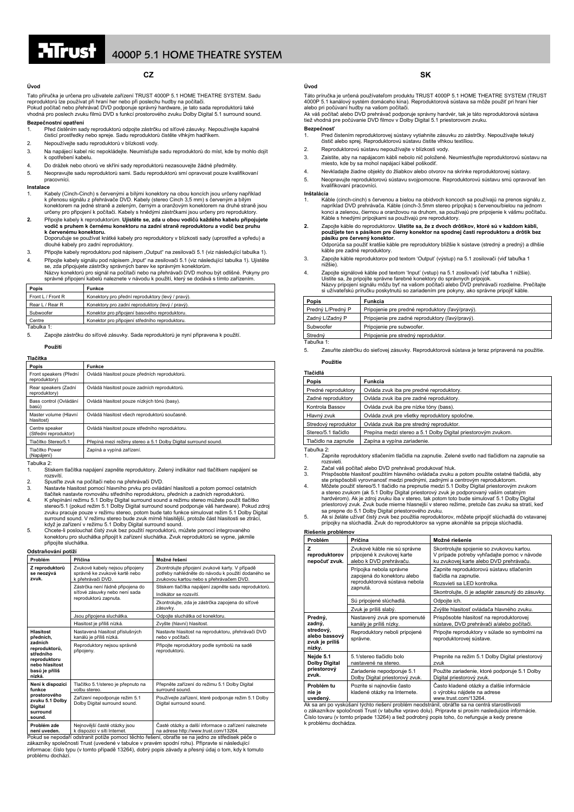## **CZ**

## **Úvod**

Tato příručka je určena pro uživatele zařízení TRUST 4000P 5.1 HOME THEATRE SYSTEM. Sadu reproduktorů lze používat při hraní her nebo při poslechu hudby na počítači.<br>Pokud počítač nebo přehrávač DVD podporuje správný hardware, je tato sada reproduktorů také<br>vhodná pro poslech zvuku filmů DVD s funkcí prostorov

### **Bezpečnostní opatření**

1. Před čistěním sady reproduktorů odpojte zástrčku od síťové zásuvky. Nepoužívejte kapalné čisticí prostředky nebo spreje. Sadu reproduktorů čistěte vlhkým hadříkem.

- 2. Nepoužívejte sadu reproduktorů v blízkosti vody.
- 3. Na napájecí kabel nic nepokládejte. Neumísťujte sadu reproduktorů do míst, kde by mohlo dojít k opotřebení kabelu.
- 4. Do drážek nebo otvorů ve skříni sady reproduktorů nezasouvejte žádné předměty.
- 5. Neopravujte sadu reproduktorů sami. Sadu reproduktorů smí opravovat pouze kvalifikovaní pracovníci.

### **Instalace**

- 1. Kabely (Cinch-Cinch) s červenými a bílými konektory na obou koncích jsou určeny například k přenosu signálu z přehrávače DVD. Kabely (stereo Cinch 3,5 mm) s červeným a bílým<br>konektorem na jedné straně a zeleným, černým a oranžovým konektorem na druhé straně jsou<br>určeny pro připojení k počítači. Kabely s hnědými
- **2.** Připojte kabely k reproduktorům. **Ujistěte se, zda u obou vodičů každého kabelu připojujete vodič s pruhem k černému konektoru na zadní straně reproduktoru a vodič bez pruhu k če<b>rvenému konektoru.**<br>Doporučuje se používat krátké kabely pro reproduktory v blízkosti sady (uprostřed a vpředu) a

dlouhé kabely pro zadní reproduktory.

- 3. Připojte kabely reproduktoru pod nápisem "Output" na zesilovači 5.1 (viz následující tabulka 1). 4. Připojte kabely signálu pod nápisem "Input" na zesilovači 5.1 (viz následující tabulka 1). Ujistěte
- se, zda připojujete zástrčky správných barev ke správným konektorům.<br>Názvy konektorů pro signál na počítači nebo na přehrávači DVD mohou být odlišné. Pokyny pro<br>správné připojení kabelů naleznete v návodu k použití, který

| Popis             | Funkce                                            |
|-------------------|---------------------------------------------------|
| Front L / Front R | Konektory pro přední reproduktory (levý / pravý). |
| Rear L / Rear R   | Konektory pro zadní reproduktory (levý / pravý).  |
| Subwoofer         | Konektor pro připojení basového reproduktoru.     |
| Centre            | Konektor pro připojení středního reproduktoru.    |

### Tabulka 1:

5. Zapojte zástrčku do síťové zásuvky. Sada reproduktorů je nyní připravena k použití.

### **Použití**

| Tlačítka                                |                                                                |  |  |
|-----------------------------------------|----------------------------------------------------------------|--|--|
| Popis                                   | Funkce                                                         |  |  |
| Front speakers (Přední<br>reproduktory) | Ovládá hlasitost pouze předních reproduktorů.                  |  |  |
| Rear speakers (Zadní<br>reproduktory)   | Ovládá hlasitost pouze zadních reproduktorů.                   |  |  |
| Bass control (Ovládání<br>basů)         | Ovládá hlasitost pouze nízkých tónů (basy).                    |  |  |
| Master volume (Hlavní<br>hlasitost)     | Ovládá hlasitost všech reproduktorů současně.                  |  |  |
| Centre speaker<br>(Střední reproduktor) | Ovládá hlasitost pouze středního reproduktoru.                 |  |  |
| Tlačítko Stereo/5.1                     | Přepíná mezi režimy stereo a 5.1 Dolby Digital surround sound. |  |  |
| Tlačítko Power<br>(Napájení)            | Zapíná a vypíná zařízení.                                      |  |  |

- Tabulka 2: 1. Stiskem tlačítka napájení zapněte reproduktory. Zelený indikátor nad tlačítkem napájení se rozsvítí
- 2. Spusťte zvuk na počítači nebo na přehrávači DVD.

- 3. Nastavte hlasitost pomocí hlavního prvku pro ovládání hlasitosti a potom pomocí ostatních<br>tlačítek nastavte rovnováhu středního reproduktoru, předních a zadních reproduktorů.<br>K přepínání režimu 5.1 Dolby Digital surroun surround sound. V režimu stereo bude zvuk mírně hlasitější, protože část hlasitosti se ztrácí,<br>když je zařízení v režimu 5.1 Dolby Digital surround sound.<br>5. Choete-li poslouchat čistý zvuk bez použití reproduktorů, můžete
- připojíte sluchátka.

### **Odstraňování potíží**

| Problém                                                                                                                              | Příčina                                                                                          | Možné řešení                                                                                                                                     |  |  |
|--------------------------------------------------------------------------------------------------------------------------------------|--------------------------------------------------------------------------------------------------|--------------------------------------------------------------------------------------------------------------------------------------------------|--|--|
| Z reproduktorů<br>se neozývá<br>zvuk.                                                                                                | Zvukové kabely nejsou připojeny<br>správně ke zvukové kartě nebo<br>k přehrávači DVD.            | Zkontrolujte připojení zvukové karty. V případě<br>potřeby nahlédněte do návodu k použití dodaného se<br>zvukovou kartou nebo s přehrávačem DVD. |  |  |
|                                                                                                                                      | Zástrčka není řádně připojena do<br>síťové zásuvky nebo není sada                                | Stiskem tlačítka napájení zapněte sadu reproduktorů.<br>Indikátor se rozsvítí.                                                                   |  |  |
|                                                                                                                                      | reproduktorů zapnuta.                                                                            | Zkontrolujte, zda je zástrčka zapojena do síťové<br>zásuvky.                                                                                     |  |  |
|                                                                                                                                      | Jsou připojena sluchátka.                                                                        | Odpoite sluchátka od konektoru.                                                                                                                  |  |  |
|                                                                                                                                      | Hlasitost je příliš nízká.                                                                       | Zvyšte (hlavní) hlasitost.                                                                                                                       |  |  |
| <b>Hlasitost</b><br>předních,<br>zadních<br>reproduktorů.<br>středního<br>reproduktoru<br>nebo hlasitost<br>basů je příliš<br>nízká. | Nastavená hlasitost příslušných<br>kanálů je příliš nízká.                                       | Nastavte hlasitost na reproduktoru, přehrávači DVD<br>nebo v počítači.                                                                           |  |  |
|                                                                                                                                      | Reproduktory nejsou správně<br>připojeny.                                                        | Připojte reproduktory podle symbolů na sadě<br>reproduktorů.                                                                                     |  |  |
| Není k dispozici<br>funkce<br>prostorového<br>zvuku 5.1 Dolby<br><b>Digital</b><br>surround<br>sound.                                | Tlačítko 5.1/stereo je přepnuto na<br>volbu stereo.                                              | Přepněte zařízení do režimu 5.1 Dolby Digital<br>surround sound.                                                                                 |  |  |
|                                                                                                                                      | Zařízení nepodporuje režim 5.1<br>Dolby Digital surround sound.                                  | Používejte zařízení, které podporuje režim 5.1 Dolby<br>Digital surround sound.                                                                  |  |  |
| Problém zde<br>není uveden.                                                                                                          | Nejnovější časté otázky jsou<br>k dispozici v síti Internet.                                     | Časté otázky a další informace o zařízení naleznete<br>na adrese http://www.trust.com/13264.                                                     |  |  |
|                                                                                                                                      | Pokud se nepodaří odstranit potíže pomocí těchto řešení, obratte se na jedno ze středisek péče o |                                                                                                                                                  |  |  |

zákazníky společnosti Trust (uvedené v tabulce v pravém spodní rohu). Připravte si následující informace: číslo typu (v tomto případě 13264), dobrý popis závady a přesný údaj o tom, kdy k tomuto problému docház

Táto príručka je určená používateľom produktu TRUST 4000P 5.1 HOME THEATRE SYSTEM (TRUST 4000P 5.1 kanálový systém domáceho kina). Reproduktorová sústava sa môže použiť pri hraní hier

**SK** 

alebo pri počúvaní hudby na vašom počítači. Ak váš počítač alebo DVD prehrávač podporuje správny hardvér, tak je táto reproduktorová sústava tiež vhodná pre počúvanie DVD filmov v Dolby Digital 5.1 priestorovom zvuku.

### **Bezpečnosť**

**Úvod** 

- 1. Pred čistením reproduktorovej sústavy vytiahnite zásuvku zo zástrčky. Nepoužívajte tekutý čistič alebo sprej. Reproduktorovú sústavu čistite vlhkou textíliou.
- 2. Reproduktorovú sústavu nepoužívajte v blízkosti vody.
- 3. Zaistite, aby na napájacom kábli nebolo nič položené. Neumiestňujte reproduktorovú sústavu na miesto, kde by sa mohol napájací kábel poškodiť.
- 4. Nevkladajte žiadne objekty do žliabkov alebo otvorov na skrinke reproduktorovej sústavy.
- 5. Neopravujte reproduktorovú sústavu svojpomocne. Reproduktorovú sústavu smú opravovať len kvalifikovaní pracovníci.

### **Inštalácia**

- 1. Káble (cinch-cinch) s červenou a bielou na obidvoch koncoch sa používajú na prenos signálu z, napríklad DVD prehrávača. Káble (cinch-3.5mm stereo prípojka) s červenou/bielou na jednom konci a zelenou, čiernou a oranžovou na druhom, sa používajú pre pripojenie k vášmu počítaču. Káble s hnedými prípojkami sa používajú pre reproduktory.
- **2.** Zapojte káble do reproduktorov. **Uistite sa, že z dvoch drôtikov, ktoré sú v každom kábli,**  použijete ten s pásikom pre čierny konektor na spodnej časti reproduktoru a drôtik bez<br>pásiku pre červený konektor.<br>Odporúča sa použiť kratšie káble pre reproduktory bližšie k sústave (stredný a predný) a dlhšie káble pre zadné reproduktory.
- 3. Zapojte káble reproduktorov pod textom 'Output' (výstup) na 5.1 zosilovači (viď tabuľka 1 nižšie).
- 4. Zapojte signálové káble pod textom 'Input' (vstup) na 5.1 zosilovači (viď tabuľka 1 nižšie). Uistite sa, že pripojíte správne farebné konektory do správnych prípojok. Názvy pripojení signálu môžu byť na vašom počítači alebo DVD prehrávači rozdielne. Prečítajte

| si užívateľskú príručku poskytnutú so zariadením pre pokyny, ako správne pripojiť káble. |                                                  |  |  |
|------------------------------------------------------------------------------------------|--------------------------------------------------|--|--|
| Popis                                                                                    | Funkcia                                          |  |  |
| Predný L/Predný P                                                                        | Pripojenie pre predné reproduktory (ľavý/pravý). |  |  |
| Zadný L/Zadný P                                                                          | Pripojenie pre zadné reproduktory (ľavý/pravý).  |  |  |
| Subwoofer                                                                                | Pripojenie pre subwoofer.                        |  |  |
| Stredný                                                                                  | Pripojenie pre stredný reproduktor.              |  |  |
| Tabuľka 1:                                                                               |                                                  |  |  |

5. Zasuňte zástrčku do sieťovej zásuvky. Reproduktorová sústava je teraz pripravená na použitie. **Použitie**

| Tlačidlá             |                                                               |  |  |
|----------------------|---------------------------------------------------------------|--|--|
| Popis                | Funkcia                                                       |  |  |
| Predné reproduktory  | Ovláda zvuk iba pre predné reproduktory.                      |  |  |
| Zadné reproduktory   | Ovláda zvuk iba pre zadné reproduktory.                       |  |  |
| Kontrola Bassov      | Ovláda zvuk iba pre nízke tóny (bass).                        |  |  |
| Hlavný zvuk          | Ovláda zvuk pre všetky reproduktory spoločne.                 |  |  |
| Stredový reproduktor | Ovláda zvuk iba pre stredný reproduktor.                      |  |  |
| Stereo/5.1 tlačidlo  | Prepína medzi stereo a 5.1 Dolby Digital priestorovým zvukom. |  |  |
| Tlačidlo na zapnutie | Zapína a vypína zariadenie.                                   |  |  |
| Tahulka 2:           |                                                               |  |  |

Tabuľka 2:

- 1. Zapnite reproduktory stlačením tlačidla na zapnutie. Zelené svetlo nad tlačidlom na zapnutie sa
- rozsvieti. 2. Začal váš počítač alebo DVD prehrávač produkovať hluk. 3. Prispôsobte hlasitosť použitím hlavného ovládača zvuku a potom použite ostatné tlačidlá, aby
- ste prispôsobili vyrovnanosť medzi prednými, zadnými a centrovým reproduktorom. 4. Môžete použiť stereo/5.1 tlačidlo na prepnutie medzi 5.1 Dolby Digital priestorovým zvukom
- a stereo zvukom (ak 5.1 Dolby Digital priestorový zvuk je podporovaný vaším ostatným hardvérom). Ak je zdroj zvuku iba v stereo, tak potom toto bude simulovať 5.1 Dolby Digital priestorový zvuk. Zvuk bude mierne hlasnejší v stereo režime, pretože čas zvuku sa stratí, keď<br>sa prepne do 5.1 Dolby Digital priestorového zvuku.<br>5. Ak si želáte užívať čistý zvuk bez použítia reproduktorov, môžete
- 

|                                                                             | Riešenie problémov                                                                      |                                                                                                                                     |  |  |  |
|-----------------------------------------------------------------------------|-----------------------------------------------------------------------------------------|-------------------------------------------------------------------------------------------------------------------------------------|--|--|--|
| Problém                                                                     | Príčina                                                                                 | Možné riešenie                                                                                                                      |  |  |  |
| z<br>reproduktorov<br>nepočuť zvuk.                                         | Zvukové káble nie sú správne<br>pripojené k zvukovej karte<br>alebo k DVD prehrávaču.   | Skontrolujte spojenie so zvukovou kartou.<br>V prípade potreby vyhľadajte pomoc v návode<br>ku zvukovej karte alebo DVD prehrávaču. |  |  |  |
|                                                                             | Prípojka nebola správne<br>zapojená do konektoru alebo<br>reproduktorová sústava nebola | Zapnite reproduktorovú sústavu stlačením<br>tlačidla na zapnutie.<br>Rozsvieti sa LED kontrolka.                                    |  |  |  |
|                                                                             | zapnutá.                                                                                | Skontrolujte, či je adaptér zasunutý do zásuvky.                                                                                    |  |  |  |
|                                                                             | Sú pripojené slúchadlá.                                                                 | Odpojte ich.                                                                                                                        |  |  |  |
|                                                                             | Zvuk je príliš slabý.                                                                   | Zvýšte hlasitosť ovládača hlavného zvuku.                                                                                           |  |  |  |
| Predný,<br>zadný,<br>stredový,<br>alebo bassový<br>zvuk je príliš<br>nízky. | Nastavený zvuk pre spomenuté<br>kanály je príliš nízky.                                 | Prispôsobte hlasitosť na reproduktorovej<br>sústave, DVD prehrávači a/alebo počítači.                                               |  |  |  |
|                                                                             | Reproduktory neboli pripojené<br>správne.                                               | Pripojte reproduktory v súlade so symbolmi na<br>reproduktorovej sústave.                                                           |  |  |  |
| Nejde 5.1<br><b>Dolby Digital</b><br>priestorový<br>zvuk.                   | 5.1/stereo tlačidlo bolo<br>nastavené na stereo.                                        | Prepnite na režim 5.1 Dolby Digital priestorový<br>zvuk                                                                             |  |  |  |
|                                                                             | Zariadenie nepodporuje 5.1<br>Dolby Digital priestorový zvuk.                           | Použite zariadenie, ktoré podporuje 5.1 Dolby<br>Digital priestorový zvuk.                                                          |  |  |  |
| Problém tu<br>nie je<br>uvedený.                                            | Pozrite si najnovšie často<br>kladené otázky na Internete.                              | Často kladené otázky a ďalšie informácie<br>o výrobku nájdete na adrese<br>www.trust.com/13264.                                     |  |  |  |

**uvedený.** www.trust.com/13264. Ak sa ani po vyskúšaní týchto riešení problém neodstránil, obráťte sa na centrá starostlivosti o zákazníkov spoločnosti Trust (v tabuľke vpravo dolu). Pripravte si prosím nasledujúce informácie. Číslo tovaru (v tomto prípade 13264) a tiež podrobný popis toho, čo nefunguje a kedy presne

k problému dochádza.